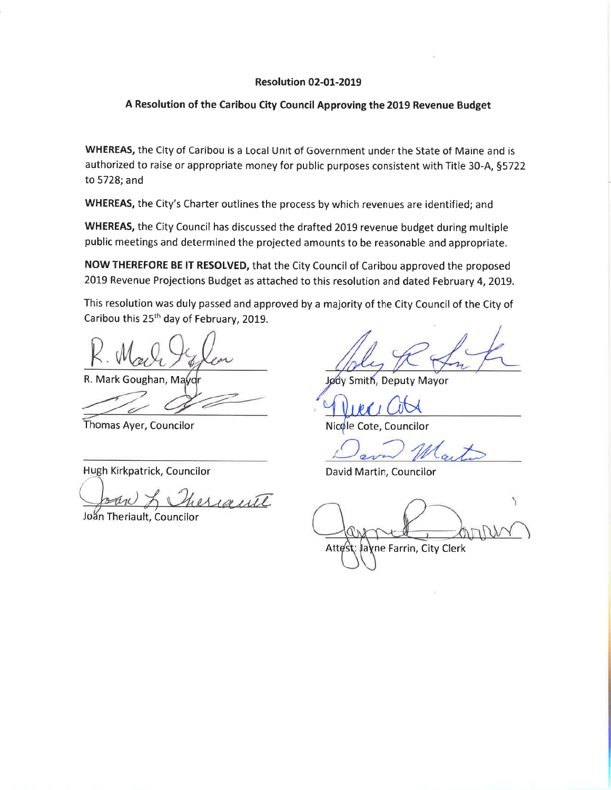#### **Resolution 02-01-2019**

#### A Resolution of the Caribou City Council Approving the 2019 Revenue Budget

WHEREAS, the City of Caribou is a Local Unit of Government under the State of Maine and is authorized to raise or appropriate money for public purposes consistent with Title 30-A, §5722 to 5728; and

WHEREAS, the City's Charter outlines the process by which revenues are identified; and

WHEREAS, the City Council has discussed the drafted 2019 revenue budget during multiple public meetings and determined the projected amounts to be reasonable and appropriate.

NOW THEREFORE BE IT RESOLVED, that the City Council of Caribou approved the proposed 2019 Revenue Projections Budget as attached to this resolution and dated February 4, 2019.

This resolution was duly passed and approved by a majority of the City Council of the City of Caribou this 25<sup>th</sup> day of February, 2019.

R. Mark Goughan, Mayd

Thomas Ayer, Councilor

Hugh Kirkpatrick, Councilor

heriaute

Joan Theriault, Councilor

Jødy Smith, Deputy Mayor

Nicole Cote, Councilor

David Martin, Councilor

Attest: Jayne Farrin, City Clerk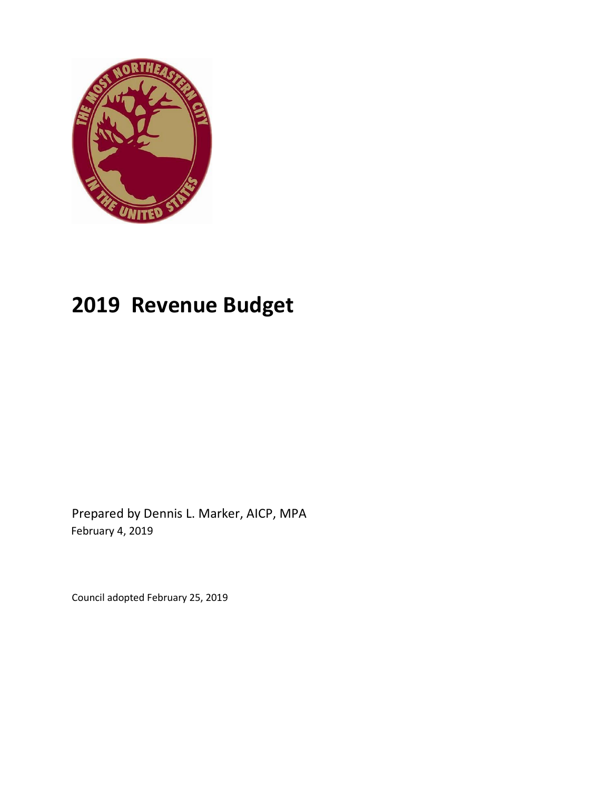

# **2019 Revenue Budget**

Prepared by Dennis L. Marker, AICP, MPA February 4, 2019

Council adopted February 25, 2019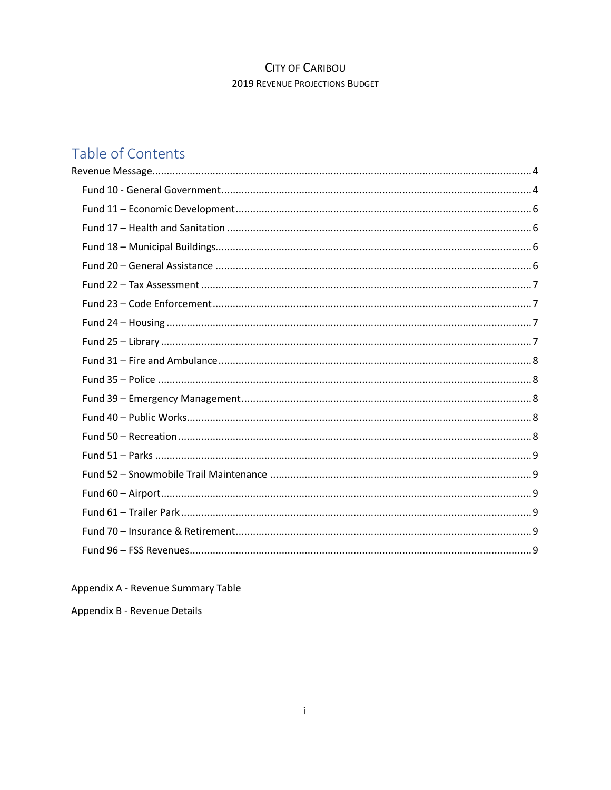# **CITY OF CARIBOU 2019 REVENUE PROJECTIONS BUDGET**

# Table of Contents

Appendix A - Revenue Summary Table

Appendix B - Revenue Details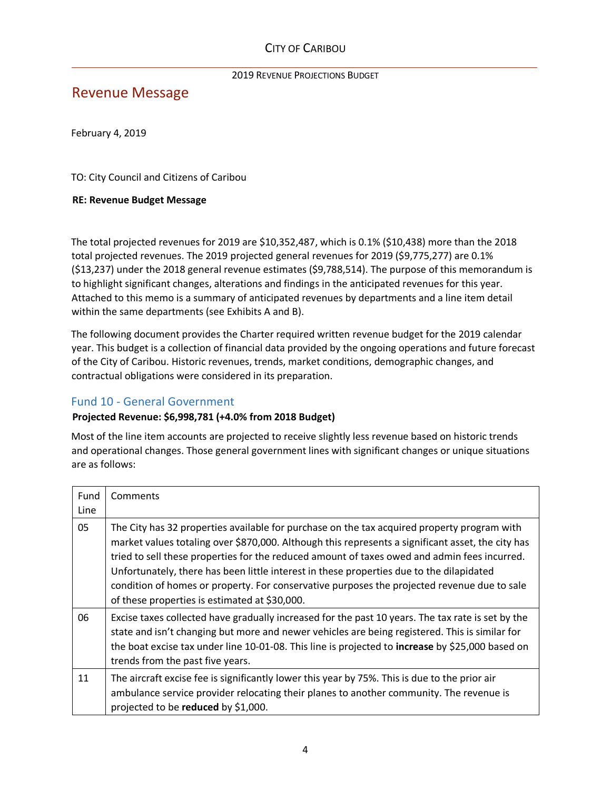# <span id="page-3-0"></span>Revenue Message

February 4, 2019

TO: City Council and Citizens of Caribou

#### **RE: Revenue Budget Message**

The total projected revenues for 2019 are \$10,352,487, which is 0.1% (\$10,438) more than the 2018 total projected revenues. The 2019 projected general revenues for 2019 (\$9,775,277) are 0.1% (\$13,237) under the 2018 general revenue estimates (\$9,788,514). The purpose of this memorandum is to highlight significant changes, alterations and findings in the anticipated revenues for this year. Attached to this memo is a summary of anticipated revenues by departments and a line item detail within the same departments (see Exhibits A and B).

The following document provides the Charter required written revenue budget for the 2019 calendar year. This budget is a collection of financial data provided by the ongoing operations and future forecast of the City of Caribou. Historic revenues, trends, market conditions, demographic changes, and contractual obligations were considered in its preparation.

#### <span id="page-3-1"></span>Fund 10 - General Government

#### **Projected Revenue: \$6,998,781 (+4.0% from 2018 Budget)**

Most of the line item accounts are projected to receive slightly less revenue based on historic trends and operational changes. Those general government lines with significant changes or unique situations are as follows:

| Fund<br>Line | Comments                                                                                                                                                                                                                                                                                                                                                                                                                                                                                                                                     |
|--------------|----------------------------------------------------------------------------------------------------------------------------------------------------------------------------------------------------------------------------------------------------------------------------------------------------------------------------------------------------------------------------------------------------------------------------------------------------------------------------------------------------------------------------------------------|
| 05           | The City has 32 properties available for purchase on the tax acquired property program with<br>market values totaling over \$870,000. Although this represents a significant asset, the city has<br>tried to sell these properties for the reduced amount of taxes owed and admin fees incurred.<br>Unfortunately, there has been little interest in these properties due to the dilapidated<br>condition of homes or property. For conservative purposes the projected revenue due to sale<br>of these properties is estimated at \$30,000. |
| 06           | Excise taxes collected have gradually increased for the past 10 years. The tax rate is set by the<br>state and isn't changing but more and newer vehicles are being registered. This is similar for<br>the boat excise tax under line 10-01-08. This line is projected to increase by \$25,000 based on<br>trends from the past five years.                                                                                                                                                                                                  |
| 11           | The aircraft excise fee is significantly lower this year by 75%. This is due to the prior air<br>ambulance service provider relocating their planes to another community. The revenue is<br>projected to be reduced by \$1,000.                                                                                                                                                                                                                                                                                                              |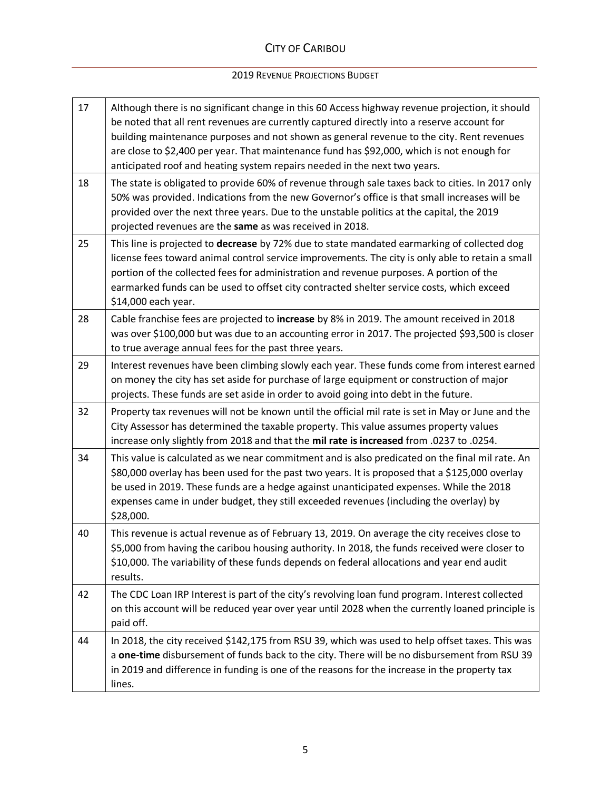# CITY OF CARIBOU

#### 2019 REVENUE PROJECTIONS BUDGET

| 17 | Although there is no significant change in this 60 Access highway revenue projection, it should<br>be noted that all rent revenues are currently captured directly into a reserve account for<br>building maintenance purposes and not shown as general revenue to the city. Rent revenues<br>are close to \$2,400 per year. That maintenance fund has \$92,000, which is not enough for<br>anticipated roof and heating system repairs needed in the next two years. |
|----|-----------------------------------------------------------------------------------------------------------------------------------------------------------------------------------------------------------------------------------------------------------------------------------------------------------------------------------------------------------------------------------------------------------------------------------------------------------------------|
| 18 | The state is obligated to provide 60% of revenue through sale taxes back to cities. In 2017 only<br>50% was provided. Indications from the new Governor's office is that small increases will be<br>provided over the next three years. Due to the unstable politics at the capital, the 2019<br>projected revenues are the same as was received in 2018.                                                                                                             |
| 25 | This line is projected to decrease by 72% due to state mandated earmarking of collected dog<br>license fees toward animal control service improvements. The city is only able to retain a small<br>portion of the collected fees for administration and revenue purposes. A portion of the<br>earmarked funds can be used to offset city contracted shelter service costs, which exceed<br>\$14,000 each year.                                                        |
| 28 | Cable franchise fees are projected to increase by 8% in 2019. The amount received in 2018<br>was over \$100,000 but was due to an accounting error in 2017. The projected \$93,500 is closer<br>to true average annual fees for the past three years.                                                                                                                                                                                                                 |
| 29 | Interest revenues have been climbing slowly each year. These funds come from interest earned<br>on money the city has set aside for purchase of large equipment or construction of major<br>projects. These funds are set aside in order to avoid going into debt in the future.                                                                                                                                                                                      |
| 32 | Property tax revenues will not be known until the official mil rate is set in May or June and the<br>City Assessor has determined the taxable property. This value assumes property values<br>increase only slightly from 2018 and that the mil rate is increased from .0237 to .0254.                                                                                                                                                                                |
| 34 | This value is calculated as we near commitment and is also predicated on the final mil rate. An<br>\$80,000 overlay has been used for the past two years. It is proposed that a \$125,000 overlay<br>be used in 2019. These funds are a hedge against unanticipated expenses. While the 2018<br>expenses came in under budget, they still exceeded revenues (including the overlay) by<br>\$28,000.                                                                   |
| 40 | This revenue is actual revenue as of February 13, 2019. On average the city receives close to<br>\$5,000 from having the caribou housing authority. In 2018, the funds received were closer to<br>\$10,000. The variability of these funds depends on federal allocations and year end audit<br>results.                                                                                                                                                              |
| 42 | The CDC Loan IRP Interest is part of the city's revolving loan fund program. Interest collected<br>on this account will be reduced year over year until 2028 when the currently loaned principle is<br>paid off.                                                                                                                                                                                                                                                      |
| 44 | In 2018, the city received \$142,175 from RSU 39, which was used to help offset taxes. This was<br>a one-time disbursement of funds back to the city. There will be no disbursement from RSU 39<br>in 2019 and difference in funding is one of the reasons for the increase in the property tax<br>lines.                                                                                                                                                             |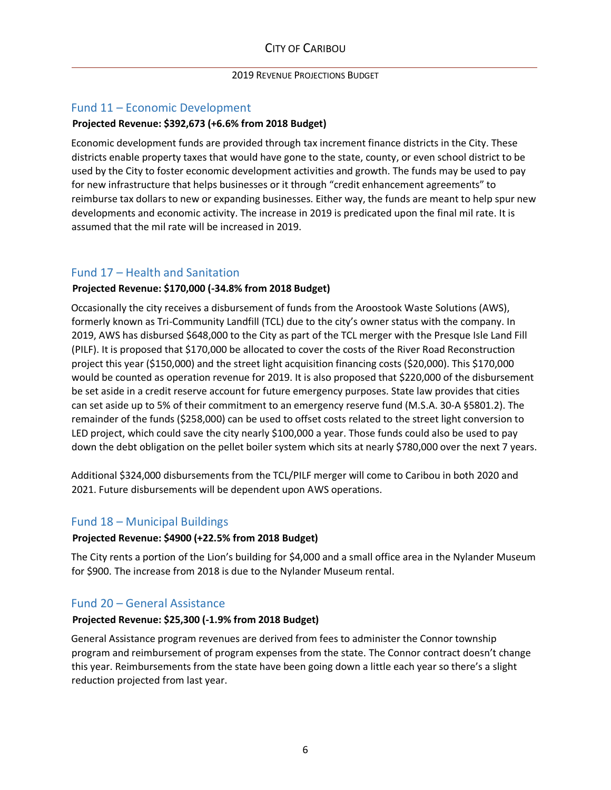#### <span id="page-5-0"></span>Fund 11 – Economic Development

## **Projected Revenue: \$392,673 (+6.6% from 2018 Budget)**

Economic development funds are provided through tax increment finance districts in the City. These districts enable property taxes that would have gone to the state, county, or even school district to be used by the City to foster economic development activities and growth. The funds may be used to pay for new infrastructure that helps businesses or it through "credit enhancement agreements" to reimburse tax dollars to new or expanding businesses. Either way, the funds are meant to help spur new developments and economic activity. The increase in 2019 is predicated upon the final mil rate. It is assumed that the mil rate will be increased in 2019.

# <span id="page-5-1"></span>Fund 17 – Health and Sanitation

## **Projected Revenue: \$170,000 (-34.8% from 2018 Budget)**

Occasionally the city receives a disbursement of funds from the Aroostook Waste Solutions (AWS), formerly known as Tri-Community Landfill (TCL) due to the city's owner status with the company. In 2019, AWS has disbursed \$648,000 to the City as part of the TCL merger with the Presque Isle Land Fill (PILF). It is proposed that \$170,000 be allocated to cover the costs of the River Road Reconstruction project this year (\$150,000) and the street light acquisition financing costs (\$20,000). This \$170,000 would be counted as operation revenue for 2019. It is also proposed that \$220,000 of the disbursement be set aside in a credit reserve account for future emergency purposes. State law provides that cities can set aside up to 5% of their commitment to an emergency reserve fund (M.S.A. 30-A §5801.2). The remainder of the funds (\$258,000) can be used to offset costs related to the street light conversion to LED project, which could save the city nearly \$100,000 a year. Those funds could also be used to pay down the debt obligation on the pellet boiler system which sits at nearly \$780,000 over the next 7 years.

Additional \$324,000 disbursements from the TCL/PILF merger will come to Caribou in both 2020 and 2021. Future disbursements will be dependent upon AWS operations.

# <span id="page-5-2"></span>Fund 18 – Municipal Buildings

#### **Projected Revenue: \$4900 (+22.5% from 2018 Budget)**

The City rents a portion of the Lion's building for \$4,000 and a small office area in the Nylander Museum for \$900. The increase from 2018 is due to the Nylander Museum rental.

# <span id="page-5-3"></span>Fund 20 – General Assistance

#### **Projected Revenue: \$25,300 (-1.9% from 2018 Budget)**

General Assistance program revenues are derived from fees to administer the Connor township program and reimbursement of program expenses from the state. The Connor contract doesn't change this year. Reimbursements from the state have been going down a little each year so there's a slight reduction projected from last year.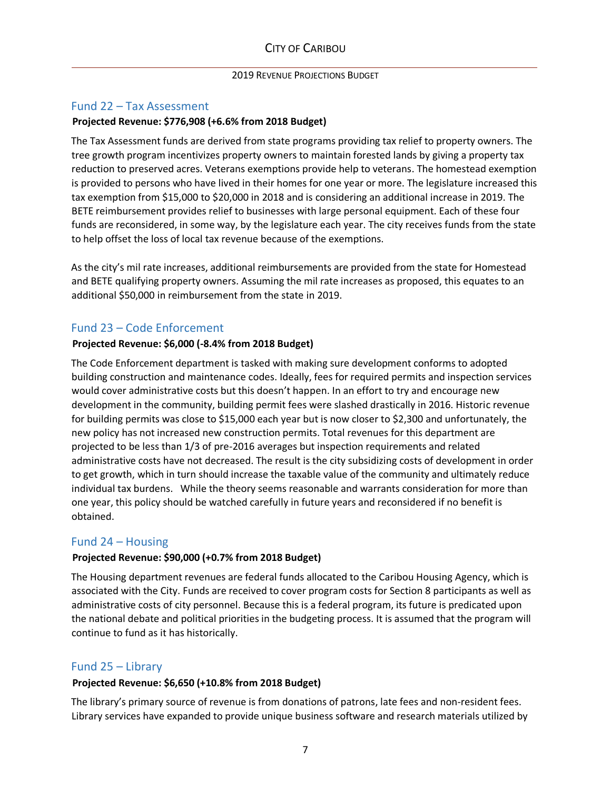#### <span id="page-6-0"></span>Fund 22 – Tax Assessment

#### **Projected Revenue: \$776,908 (+6.6% from 2018 Budget)**

The Tax Assessment funds are derived from state programs providing tax relief to property owners. The tree growth program incentivizes property owners to maintain forested lands by giving a property tax reduction to preserved acres. Veterans exemptions provide help to veterans. The homestead exemption is provided to persons who have lived in their homes for one year or more. The legislature increased this tax exemption from \$15,000 to \$20,000 in 2018 and is considering an additional increase in 2019. The BETE reimbursement provides relief to businesses with large personal equipment. Each of these four funds are reconsidered, in some way, by the legislature each year. The city receives funds from the state to help offset the loss of local tax revenue because of the exemptions.

As the city's mil rate increases, additional reimbursements are provided from the state for Homestead and BETE qualifying property owners. Assuming the mil rate increases as proposed, this equates to an additional \$50,000 in reimbursement from the state in 2019.

#### <span id="page-6-1"></span>Fund 23 – Code Enforcement

#### **Projected Revenue: \$6,000 (-8.4% from 2018 Budget)**

The Code Enforcement department is tasked with making sure development conforms to adopted building construction and maintenance codes. Ideally, fees for required permits and inspection services would cover administrative costs but this doesn't happen. In an effort to try and encourage new development in the community, building permit fees were slashed drastically in 2016. Historic revenue for building permits was close to \$15,000 each year but is now closer to \$2,300 and unfortunately, the new policy has not increased new construction permits. Total revenues for this department are projected to be less than 1/3 of pre-2016 averages but inspection requirements and related administrative costs have not decreased. The result is the city subsidizing costs of development in order to get growth, which in turn should increase the taxable value of the community and ultimately reduce individual tax burdens. While the theory seems reasonable and warrants consideration for more than one year, this policy should be watched carefully in future years and reconsidered if no benefit is obtained.

#### <span id="page-6-2"></span>Fund 24 – Housing

#### **Projected Revenue: \$90,000 (+0.7% from 2018 Budget)**

The Housing department revenues are federal funds allocated to the Caribou Housing Agency, which is associated with the City. Funds are received to cover program costs for Section 8 participants as well as administrative costs of city personnel. Because this is a federal program, its future is predicated upon the national debate and political priorities in the budgeting process. It is assumed that the program will continue to fund as it has historically.

#### <span id="page-6-3"></span>Fund 25 – Library

#### **Projected Revenue: \$6,650 (+10.8% from 2018 Budget)**

The library's primary source of revenue is from donations of patrons, late fees and non-resident fees. Library services have expanded to provide unique business software and research materials utilized by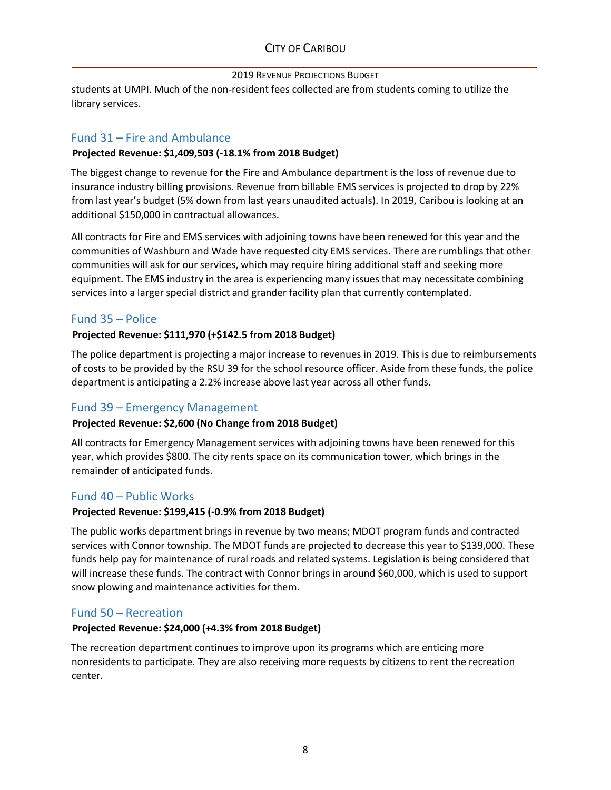# CITY OF CARIBOU

#### 2019 REVENUE PROJECTIONS BUDGET

students at UMPI. Much of the non-resident fees collected are from students coming to utilize the library services.

#### <span id="page-7-0"></span>Fund 31 – Fire and Ambulance

#### **Projected Revenue: \$1,409,503 (-18.1% from 2018 Budget)**

The biggest change to revenue for the Fire and Ambulance department is the loss of revenue due to insurance industry billing provisions. Revenue from billable EMS services is projected to drop by 22% from last year's budget (5% down from last years unaudited actuals). In 2019, Caribou is looking at an additional \$150,000 in contractual allowances.

All contracts for Fire and EMS services with adjoining towns have been renewed for this year and the communities of Washburn and Wade have requested city EMS services. There are rumblings that other communities will ask for our services, which may require hiring additional staff and seeking more equipment. The EMS industry in the area is experiencing many issues that may necessitate combining services into a larger special district and grander facility plan that currently contemplated.

#### <span id="page-7-1"></span>Fund 35 – Police

#### **Projected Revenue: \$111,970 (+\$142.5 from 2018 Budget)**

The police department is projecting a major increase to revenues in 2019. This is due to reimbursements of costs to be provided by the RSU 39 for the school resource officer. Aside from these funds, the police department is anticipating a 2.2% increase above last year across all other funds.

#### <span id="page-7-2"></span>Fund 39 – Emergency Management

#### **Projected Revenue: \$2,600 (No Change from 2018 Budget)**

All contracts for Emergency Management services with adjoining towns have been renewed for this year, which provides \$800. The city rents space on its communication tower, which brings in the remainder of anticipated funds.

#### <span id="page-7-3"></span>Fund 40 – Public Works

#### **Projected Revenue: \$199,415 (-0.9% from 2018 Budget)**

The public works department brings in revenue by two means; MDOT program funds and contracted services with Connor township. The MDOT funds are projected to decrease this year to \$139,000. These funds help pay for maintenance of rural roads and related systems. Legislation is being considered that will increase these funds. The contract with Connor brings in around \$60,000, which is used to support snow plowing and maintenance activities for them.

#### <span id="page-7-4"></span>Fund 50 – Recreation

#### **Projected Revenue: \$24,000 (+4.3% from 2018 Budget)**

The recreation department continues to improve upon its programs which are enticing more nonresidents to participate. They are also receiving more requests by citizens to rent the recreation center.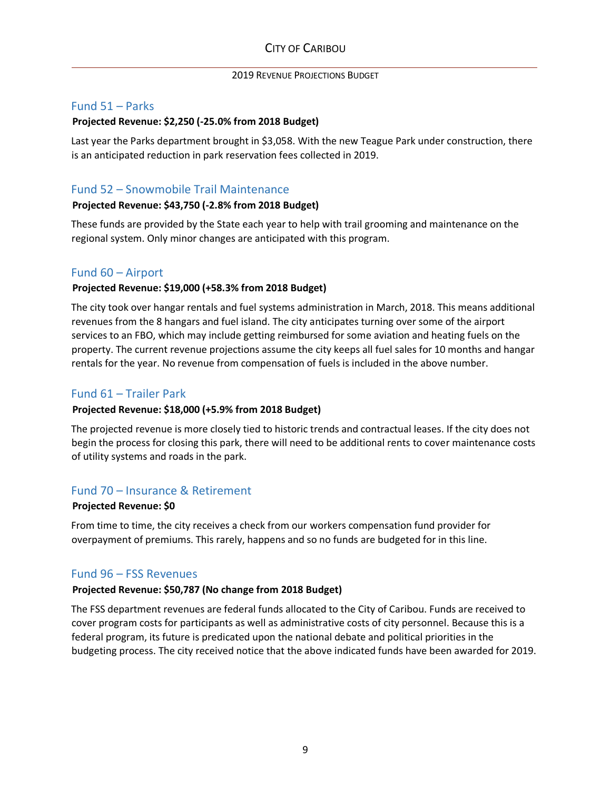#### <span id="page-8-0"></span>Fund 51 – Parks

#### **Projected Revenue: \$2,250 (-25.0% from 2018 Budget)**

Last year the Parks department brought in \$3,058. With the new Teague Park under construction, there is an anticipated reduction in park reservation fees collected in 2019.

### <span id="page-8-1"></span>Fund 52 – Snowmobile Trail Maintenance

#### **Projected Revenue: \$43,750 (-2.8% from 2018 Budget)**

These funds are provided by the State each year to help with trail grooming and maintenance on the regional system. Only minor changes are anticipated with this program.

#### <span id="page-8-2"></span>Fund 60 – Airport

#### **Projected Revenue: \$19,000 (+58.3% from 2018 Budget)**

The city took over hangar rentals and fuel systems administration in March, 2018. This means additional revenues from the 8 hangars and fuel island. The city anticipates turning over some of the airport services to an FBO, which may include getting reimbursed for some aviation and heating fuels on the property. The current revenue projections assume the city keeps all fuel sales for 10 months and hangar rentals for the year. No revenue from compensation of fuels is included in the above number.

#### <span id="page-8-3"></span>Fund 61 – Trailer Park

#### **Projected Revenue: \$18,000 (+5.9% from 2018 Budget)**

The projected revenue is more closely tied to historic trends and contractual leases. If the city does not begin the process for closing this park, there will need to be additional rents to cover maintenance costs of utility systems and roads in the park.

#### <span id="page-8-4"></span>Fund 70 – Insurance & Retirement

#### **Projected Revenue: \$0**

From time to time, the city receives a check from our workers compensation fund provider for overpayment of premiums. This rarely, happens and so no funds are budgeted for in this line.

#### <span id="page-8-5"></span>Fund 96 – FSS Revenues

#### **Projected Revenue: \$50,787 (No change from 2018 Budget)**

The FSS department revenues are federal funds allocated to the City of Caribou. Funds are received to cover program costs for participants as well as administrative costs of city personnel. Because this is a federal program, its future is predicated upon the national debate and political priorities in the budgeting process. The city received notice that the above indicated funds have been awarded for 2019.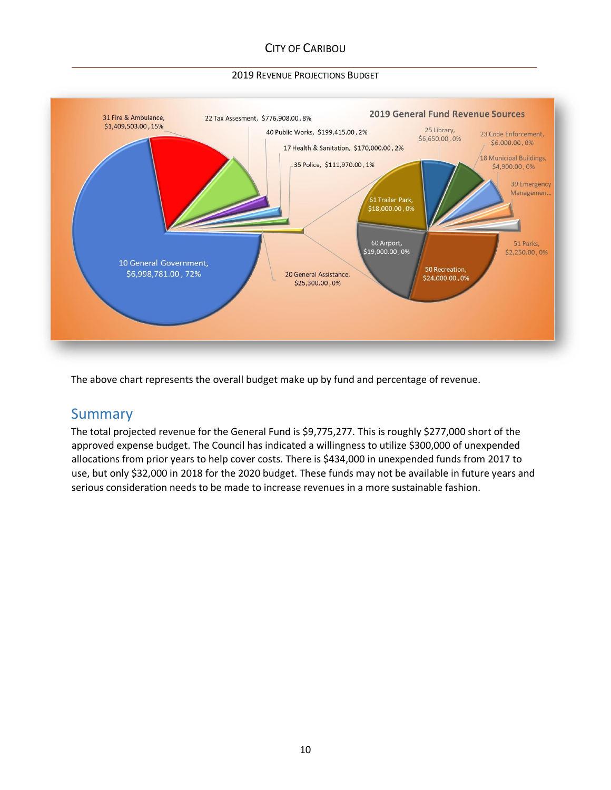# CITY OF CARIBOU

#### 2019 REVENUE PROJECTIONS BUDGET



The above chart represents the overall budget make up by fund and percentage of revenue.

# Summary

The total projected revenue for the General Fund is \$9,775,277. This is roughly \$277,000 short of the approved expense budget. The Council has indicated a willingness to utilize \$300,000 of unexpended allocations from prior years to help cover costs. There is \$434,000 in unexpended funds from 2017 to use, but only \$32,000 in 2018 for the 2020 budget. These funds may not be available in future years and serious consideration needs to be made to increase revenues in a more sustainable fashion.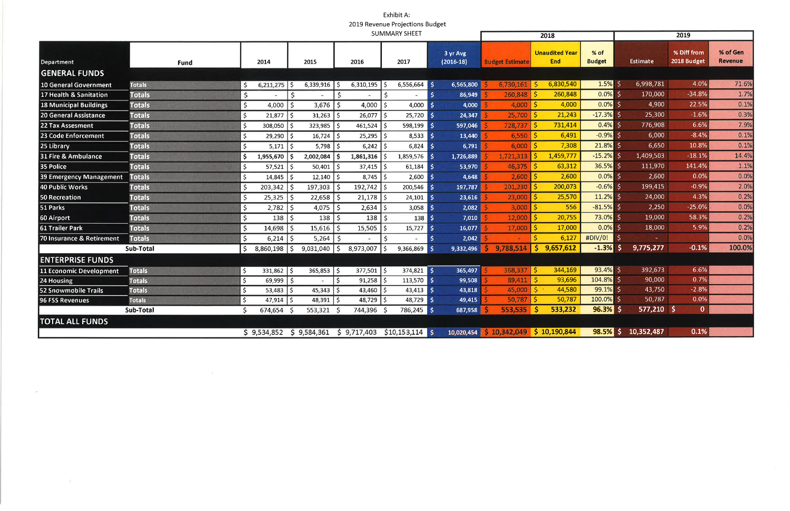# Exhibit A: 2019 Revenue Projections Budget

|                               |                  |                                 | 2018               |                     | 2019                                   |                       |                         |                        |                                        |                       |                 |                            |                     |
|-------------------------------|------------------|---------------------------------|--------------------|---------------------|----------------------------------------|-----------------------|-------------------------|------------------------|----------------------------------------|-----------------------|-----------------|----------------------------|---------------------|
| <b>Department</b>             | Fund             | 2014                            | 2015               |                     | 2016                                   | 2017                  | 3 yr Avg<br>$(2016-18)$ | <b>Budget Estimate</b> | <b>Unaudited Year</b><br><b>End</b>    | % of<br><b>Budget</b> | <b>Estimate</b> | % Diff from<br>2018 Budget | % of Gen<br>Revenue |
| <b>GENERAL FUNDS</b>          |                  |                                 |                    |                     |                                        |                       |                         |                        |                                        |                       |                 |                            |                     |
| 10 General Government         | <b>Totals</b>    | $6,211,275$   \$<br>\$.         |                    | 6,339,916           | 6,310,195                              | $6,556,664$ \$        | 6,565,800               | 6,730,161              | 6,830,540<br><b>S</b>                  | $1.5\%$ \$            | 6,998,781       | 4.0%                       | 71.6%               |
| 17 Health & Sanitation        | <b>Totals</b>    | \$                              | \$                 |                     | \$                                     |                       | 86,949<br>-S            | 260,848                | \$<br>260,848                          | $0.0\%$ \$            | 170,000         | $-34.8%$                   | 1.7%                |
| <b>18 Municipal Buildings</b> | <b>Totals</b>    | 'S<br>$4,000$   \$              |                    | $3,676$   \$        | 4,000                                  | 4,000                 | 4,000<br>l \$           | 4,000                  | \$<br>4,000                            | $0.0\%$ \$            | 4,900           | 22.5%                      | 0.1%                |
| 20 General Assistance         | <b>Totals</b>    | $21,877$ \$<br>$\zeta$          |                    | $31,263$   \$       | 26,077                                 | 25,720<br>۱\$         | 24,347<br>l \$          | 25,700                 | 21,243                                 | $-17.3%$              | 25,300          | $-1.6%$                    | 0.3%                |
| <b>22 Tax Assesment</b>       | <b>Totals</b>    | 308,050<br>'S                   | l S                | $323,985$ \$        | $461,524$   \$                         | $598,199$ \$          | 597,046                 | 728,737                | 731,414                                | $0.4\%$ \$            | 776,908         | 6.6%                       | 7.9%                |
| 23 Code Enforcement           | <b>Totals</b>    | $29,290$ \$<br>'\$              |                    | $16,724$ \$         | 25,295                                 | 8,533<br>l \$         | 13,440<br>∣\$           | 6,550                  | 6,491                                  | $-0.9%$               | 6,000           | $-8.4%$                    | 0.1%                |
| 25 Library                    | <b>Totals</b>    | $5,171$   \$<br>$\zeta$         |                    | $5,798$ \$          | 6,242                                  | $6,824$ \$            | 6,791                   | 6,000                  | 7,308                                  | $21.8\%$ \$           | 6,650           | 10.8%                      | 0.1%                |
| 31 Fire & Ambulance           | <b>Totals</b>    | $\mathsf{\hat{S}}$<br>1,955,670 | -S                 | $2,002,084$ \$      | 1,861,316                              | 1,859,576             | 1,726,889<br>l \$       | 1,721,313              | 1,459,777                              | $-15.2%$              | 1,409,503       | $-18.1%$                   | 14.4%               |
| <b>35 Police</b>              | <b>Totals</b>    | $57,521$ \$<br>\$               |                    | $50,401$   \$       | $37,415$ \$                            | 61,184                | 53,970<br>l S           | 46,375                 | 63,312                                 | $36.5%$ \$            | 111,970         | 141.4%                     | 1.1%                |
| 39 Emergency Management       | <b>Totals</b>    | $\zeta$<br>$14,845$ \$          |                    | $12,140$ \$         | 8,745                                  | ا \$<br>2,600         | 4,648<br>l S            | 2,600                  | 2,600                                  | $0.0\%$ \$            | 2,600           | 0.0%                       | 0.0%                |
| 40 Public Works               | <b>Totals</b>    | $\mathsf{S}$<br>203,342         | $\mathsf{\hat{S}}$ | $197,303$   \$      | 192,742                                | $200,546$ \$          | 197,787                 | 201,230                | 200,073                                | $-0.6%$ \$            | 199,415         | $-0.9%$                    | 2.0%                |
| 50 Recreation                 | <b>Totals</b>    | $\zeta$<br>25,325               | 5 ا                | $22,658$   \$       | 21,178                                 | 24,101<br>I\$         | 23,616<br>l S           | 23,000                 | 25,570                                 | $11.2\%$ \$           | 24,000          | 4.3%                       | 0.2%                |
| 51 Parks                      | <b>Totals</b>    | $\zeta$<br>2,782                | Ś                  | $4,075$   \$        | 2,634                                  | $3,058$ \$<br>I \$    | 2,082                   | 3,000                  | 556                                    | $-81.5%$ \$           | 2,250           | $-25.0%$                   | 0.0%                |
| 60 Airport                    | <b>Totals</b>    | $\varsigma$<br>$138$   \$       |                    | $138$   \$          | 138                                    | $138 \, \space{1}$ \$ | 7,010                   | 12,000                 | 20,755                                 | 73.0% \$              | 19,000          | 58.3%                      | 0.2%                |
| <b>61 Trailer Park</b>        | <b>Totals</b>    | $\zeta$<br>$14,698$ \$          |                    | $15,616$ \$         | 15,505                                 | 15,727                | 16,077<br>∣\$           | 17,000                 | 17,000                                 | $0.0\%$ \$            | 18,000          | 5.9%                       | 0.2%                |
| 70 Insurance & Retirement     | <b>Totals</b>    | $\zeta$<br>$6,214$ \$           |                    | $5,264$   \$        |                                        | <b>S</b><br>$\sim$    | 2,042<br><b>S</b>       |                        | 6,127                                  | #DIV/0!               |                 |                            | 0.0%                |
|                               | Sub-Total        | $\zeta$<br>8,860,198            | $\frac{1}{2}$      | $9,031,040$ \$      | 8,973,007                              | 9,366,869             | 9,332,496<br>∣\$        | 9,788,514              | 9,657,612<br>s                         | $-1.3%$               | 9,775,277       | $-0.1%$                    | 100.0%              |
| <b>ENTERPRISE FUNDS</b>       |                  |                                 |                    |                     |                                        |                       |                         |                        |                                        |                       |                 |                            |                     |
| 11 Economic Development       | <b>Totals</b>    | $331,862$   \$<br>S.            |                    | $365,853$ $\mid$ \$ | $377,501$ \$                           | $374,821$ \$          | 365,497                 | $368,337$ $\sqrt{5}$   | 344,169                                | $93.4\%$ \$           | 392,673         | 6.6%                       |                     |
| 24 Housing                    | <b>Totals</b>    | \$<br>$69,999$ \$               |                    |                     | $\overline{\mathsf{S}}$<br>91,258      | $113,570$ \$<br>l Ş   | 99,508                  | 89,411                 | 93,696<br>l \$                         | $104.8\%$ \$          | 90,000          | 0.7%                       |                     |
| 52 Snowmobile Trails          | <b>Totals</b>    | \$<br>$53,483$   \$             |                    | $45,343$ \$         | 43,460                                 | $43,413$ \$           | 43,818                  | $45,000$   \$          | 44,580                                 | $99.1\%$ \$           | 43,750          | $-2.8%$                    |                     |
| 96 FSS Revenues               | <b>Totals</b>    | \$<br>$47,914$ \$               |                    | $48,391$ \$         | 48,729                                 | 48,729 \$<br>l s      | 49,415                  | 50,787                 | 50,787                                 | 100.0%                | 50,787          | 0.0%                       |                     |
|                               | <b>Sub-Total</b> | 674,654                         | - S                | 553,321             | 744,396                                | 786,245 \$            | 687,958                 | 553,535                | 533,232<br>S                           | 96.3%                 | 577,210         | $\overline{0}$             |                     |
| <b>TOTAL ALL FUNDS</b>        |                  |                                 |                    |                     |                                        |                       |                         |                        |                                        |                       |                 |                            |                     |
|                               |                  |                                 |                    |                     | $$9,534,852 \t$9,584,361 \t$9,717,403$ | $$10,153,114$ \$      |                         |                        | 10,020,454 \$ 10,342,049 \$ 10,190,844 | 98.5% \$              | 10,352,487      | 0.1%                       |                     |

 $\alpha = -\alpha$ 

 $\sim$   $\sim$ 

 $\frac{1}{2} \frac{1}{\sqrt{2}}$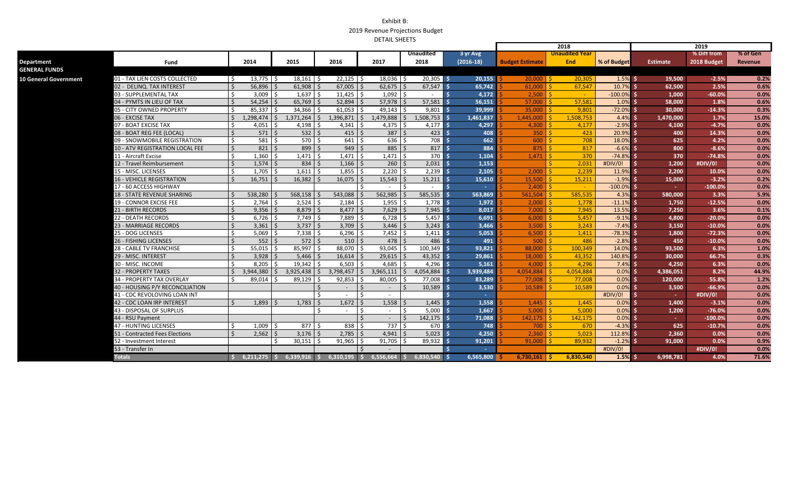|                              |                                  |                                 |                                |                                         |                    |                          |             |                        | 2018                  |              | 2019            |             |          |  |
|------------------------------|----------------------------------|---------------------------------|--------------------------------|-----------------------------------------|--------------------|--------------------------|-------------|------------------------|-----------------------|--------------|-----------------|-------------|----------|--|
|                              |                                  |                                 |                                |                                         |                    | <b>Unaudited</b>         | 3 yr Avg    |                        | <u>Unaudited Year</u> |              |                 | % Diff from | % of Gen |  |
| Department                   | Fund                             | 2014                            | 2015                           | 2016                                    | 2017               | 2018                     | $(2016-18)$ | <b>Budget Estimate</b> | <b>End</b>            | % of Budget  | <b>Estimate</b> | 2018 Budget | Revenue  |  |
| <b>GENERAL FUNDS</b>         |                                  |                                 |                                |                                         |                    |                          |             |                        |                       |              |                 |             |          |  |
| <b>10 General Government</b> | 01 - TAX LIEN COSTS COLLECTED    | 13,775<br>-S                    | 18,161                         | $22,125$ \$                             | 18,036             | $20,305$ \$              | 20.155      | 20,000                 | 20.305                | $1.5\%$ \$   | 19.500          | $-2.5%$     | 0.2%     |  |
|                              | 02 - DELINQ. TAX INTEREST        | Ś.<br>$56,896$ \$               | $61,908$ \$                    | $67,005$   \$                           | $62,675$ \$        | $67,547$ \$              | 65,742      | 61,000                 | 67,547                | 10.7% S      | 62,500          | 2.5%        | 0.6%     |  |
|                              | 03 - SUPPLEMENTAL TAX            | 3.009<br>Ŝ.                     | $1,637$ \$                     | $11,425$ \$                             | $1,092$ \$         | $\sim$                   | 4,172       | 2.500                  | $\sim$                | $-100.0\%$   | 1.000           | $-60.0%$    | 0.0%     |  |
|                              | 04 - PYMTS IN LIEU OF TAX        | 54,254<br>$\breve{\varsigma}$   | 65,769                         | $52,894$   \$                           | 57,978             | 57,581                   | 56,151      | 57,000                 | 57,581                | 1.0%         | 58,000          | 1.8%        | 0.6%     |  |
|                              | 05 - CITY OWNED PROPERTY         | <b>&lt;</b><br>85,337           | 34,366                         | $61,053$ \$                             | 49.143             | 9,801                    | 39,999      | 35,000                 | 9,801                 | $-72.0%$     | 30,000          | $-14.3%$    | 0.3%     |  |
|                              | 06 - EXCISE TAX                  | $\mathsf{\dot{S}}$<br>1,298,474 | 1,371,264<br>l \$              | $1,396,871$ \$<br>S.                    | 1,479,888          | 1,508,753<br>S.          | 1,461,837   | 1.445.000              | 1,508,753             | $4.4\%$ \$   | 1.470.000       | 1.7%        | 15.0%    |  |
|                              | 07 - BOAT EXCISE TAX             | 4,051<br>Ś                      | 4,198                          | $4,341$   \$                            | 4,375              | $4,177$   \$             | 4,297       | 4,300                  | 4,177                 | $-2.9%$      | 4,100           | $-4.7%$     | 0.0%     |  |
|                              | 08 - BOAT REG FEE (LOCAL)        | $\mathsf{\dot{S}}$<br>$571$ S   | $532$ $\overline{\phantom{1}}$ | $415$ $\overline{\phantom{1}}$ \$       | $387$ \$           | $423$ 5                  | 408         | 350                    | 423                   | 20.9%        | 400             | 14.3%       | 0.0%     |  |
|                              | 09 - SNOWMOBILE REGISTRATION     | \$.<br>581                      | 570                            | $641 \overline{\smash{\big)}\smash{5}}$ | 636                | 708                      | 662         | 600                    | 708                   | 18.0%        | 625             | 4.2%        | 0.0%     |  |
|                              | 10 - ATV REGISTRATION LOCAL FEE  | $821$ \$<br>$\zeta$             | $899$ \$                       | $949$ \$                                | 885                | $\leq$<br>817            | 884         | 875                    | 817                   | $-6.6%$      | 800             | $-8.6%$     | 0.0%     |  |
|                              | 11 - Aircraft Excise             | \$.<br>1,360                    | $1,471$ \$                     | $1,471$ \$                              | 1,471              | 370<br>-S                | 1,104       | 1,471                  | 370                   | $-74.8\%$ \$ | 370             | $-74.8%$    | 0.0%     |  |
|                              | 12 - Travel Reimbursement        | $\zeta$<br>$1,574$ \$           | $834 \, \space{1}$ \$          | $1,166$   \$                            | $260$   \$         | $2,031$ $\frac{1}{3}$    | 1,153       |                        | 2,031                 | #DIV/0!      | 1,200           | #DIV/0!     | 0.0%     |  |
|                              | 15 - MISC. LICENSES              | <b>S</b><br>1.705               | $1.611$ \$                     | $1.855$   \$                            | $2.220$ S          | 2,239                    | 2.105       | 2.000                  | 2.239                 | 11.9%        | 2.200           | 10.0%       | 0.0%     |  |
|                              | <b>16 - VEHICLE REGISTRATION</b> | $\zeta$<br>16,751               | 16,382                         | $16,075$ \$                             | 15,543             | 15,211                   | 15,610      | 15,500                 | 15,211                | $-1.9\%$     | 15.000          | $-3.2%$     | 0.2%     |  |
|                              | 17 - 60 ACCESS HIGHWAY           |                                 |                                |                                         |                    | $\overline{\phantom{a}}$ |             | 2,400                  | $\sim$ $-$            | $-100.0\%$   |                 | $-100.0%$   | 0.0%     |  |
|                              | 18 - STATE REVENUE SHARING       | 538,280                         | 568,158                        | 543,088                                 | 562,985            | 585,535                  | 563,869     | 561,504                | 585,535               | $4.3\%$ \$   | 580.000         | 3.3%        | 5.9%     |  |
|                              | 19 - CONNOR EXCISE FEE           | 2.764<br>\$                     | 2.524                          | $2.184$ \ \$                            | 1.955              | $1.778$ \$               | 1,972       | 2.000                  | 1.778                 | $-11.1\%$ \$ | 1,750           | $-12.5%$    | 0.0%     |  |
|                              | 21 - BIRTH RECORDS               | $9,356$ \$<br><sup>5</sup>      | $8,879$ \$                     | $8,477$ \$                              | $7,629$   \$       | 7,945                    | 8,017       | 7,000                  | 7,945                 | 13.5%        | 7,250           | 3.6%        | 0.1%     |  |
|                              | 22 - DEATH RECORDS               | 6,726<br>Ś                      | 7,749                          | $7,889$ \$                              | 6.728              | 5,457                    | 6.691       | 6.000                  | 5.457                 | $-9.1\%$     | 4.800           | $-20.0%$    | 0.0%     |  |
|                              | 23 - MARRIAGE RECORDS            | $\zeta$<br>$3,361$ \$           | $3,737$ $\frac{1}{5}$          | $3,709$   \$                            | 3,446              | 3,243                    | 3,466       | 3,500                  | 3,243                 | $-7.4%$      | 3,150           | $-10.0%$    | 0.0%     |  |
|                              | 25 - DOG LICENSES                | \$.<br>5,069                    | $7,338$ \$                     | $6,296$ \$                              | 7,452              | 1,411                    | 5,053       | 6,500                  | 1,411                 | $-78.3%$     | 1,800           | $-72.3%$    | 0.0%     |  |
|                              | 26 - FISHING LICENSES            | $\mathsf{\dot{S}}$<br>$552$ \$  | $572$ $\overline{\phantom{1}}$ | $510$ $\overline{\phantom{1}}$          | $478$   \$         | 486                      | 491         | 500                    | 486                   | $-2.8\%$ \$  | 450             | $-10.0%$    | 0.0%     |  |
|                              | 28 - CABLE TV FRANCHISE          | $55,015$ \$<br>Ŝ.               | $85,997$ \$                    | 88,070 \$                               | 93,045             | 100,349<br>- Ś           | 93.821      | 88,000                 | 100,349               | 14.0%        | 93.500          | 6.3%        | 1.0%     |  |
|                              | 29 - MISC. INTEREST              | $\zeta$<br>3.928                | 5,466                          | $16.614$   \$                           | 29.615             | 43.352                   | 29,861      | 18,000                 | 43.352                | 140.8%       | 30,000          | 66.7%       | 0.3%     |  |
|                              | 30 - MISC. INCOME                | $\zeta$<br>8,205                | $19,342$ \$                    | $6,503$ \$                              | 4.685              | 4,296                    | 5,161       | 4,000                  | 4,296                 | 7.4%         | 4,250           | 6.3%        | 0.0%     |  |
|                              | <b>32 - PROPERTY TAXES</b>       | 3,944,380<br>Ŝ.                 | 3,925,438                      | $3,798,457$ \$<br>S.                    | 3.965.111          | 4,054,884<br>$\zeta$     | 3,939,484   | 4.054.884              | 4.054.884             | $0.0\%$ S    | 4.386.051       | 8.2%        | 44.9%    |  |
|                              | 34 - PROPERTY TAX OVERLAY        | \$.<br>89,014                   | 89,129                         | 92,853                                  | 80,005             | $77,008$ \$              | 83,289      | 77,008                 | 77,008                | $0.0\%$      | 120,000         | 55.8%       | 1.2%     |  |
|                              | 40 - HOUSING P/Y RECONCILIATION  |                                 |                                | $\sim$                                  | S.<br>$\sim$       | 10,589<br>$\zeta$        | 3,530       | 10,589                 | 10,589                | 0.0%         | 3,500           | $-66.9%$    | 0.0%     |  |
|                              | 41 - CDC REVOLOVING LOAN INT     |                                 |                                | $\sim$                                  | $\sim$             |                          |             |                        |                       | #DIV/0!      |                 | #DIV/0!     | 0.0%     |  |
|                              | 42 - CDC LOAN IRP INTEREST       | 1,893<br>ć                      | 1,783                          | $1,672$ \$<br>S.                        | 1,558              | 1,445                    | 1,558       | 1,445                  | 1,445                 | $0.0\%$ \$   | 1,400           | $-3.1%$     | 0.0%     |  |
|                              | 43 - DISPOSAL OF SURPLUS         |                                 |                                | Ŝ.<br>$\sim$                            | I \$<br>$\sim$ $-$ | 5,000<br>-S              | 1.667       | 5.000                  | 5,000                 | $0.0\%$ S    | 1.200           | $-76.0%$    | 0.0%     |  |
|                              | 44 - RSU Payment                 |                                 |                                |                                         | $\sim$ $-$         | 142, 175                 | 71,088      | 142,175                | 142,175               | $0.0\%$ \$   | $\sim 10^{-1}$  | $-100.0%$   | 0.0%     |  |
|                              | 47 - HUNTING LICENSES            | 1.009                           | $877$ \$<br>-S                 | $838$ $\overline{\phantom{1}}$          | 737                | 670 l<br>Ŝ.              | 748         | 700                    | 670                   | $-4.3%$      | 625             | $-10.7%$    | 0.0%     |  |
|                              | 51 - Contracted Fees Elections   | 2,562                           | 3,176                          | $2,785$ \$                              | 4.941              | 5,023                    | 4,250       | 2.360                  | 5.023                 | 112.8%       | 2,360           | 0.0%        | 0.0%     |  |
|                              | 52 - Investment Interest         |                                 | 30,151                         | $91,965$ \$                             | 91,705             | 89,932                   | 91,201      | 91,000                 | 89,932                | $-1.2%$      | 91.000          | 0.0%        | 0.9%     |  |
|                              | 53 - Transfer In                 |                                 |                                |                                         |                    |                          |             |                        |                       | #DIV/0!      |                 | #DIV/0!     | 0.0%     |  |
|                              | <b>Totals</b>                    | $6,211,275$ \$                  | $6,339,916$ \$                 | $6,310,195$ \$                          | 6,556,664          | 6,830,540                | 6,565,800   | $6,730,161$   \$       | 6,830,540             | $1.5\%$ \$   | 6,998,781       | 4.0%        | 71.6%    |  |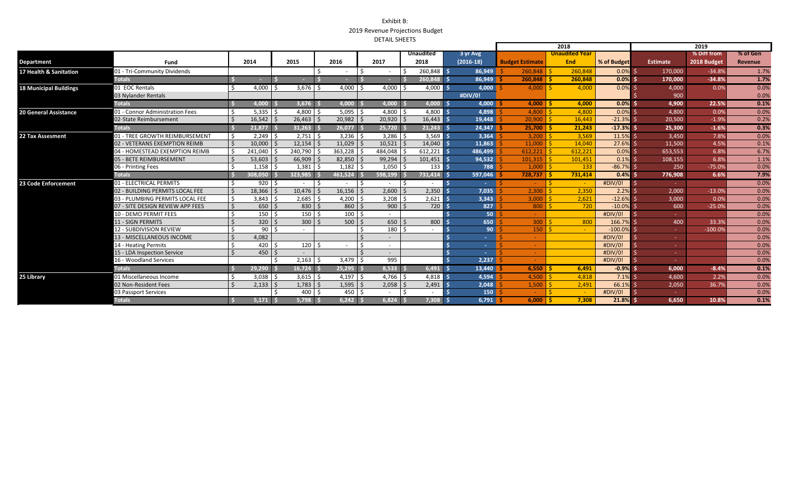|                               |                                  |  |                |  |                          | 2018 |                         |         |                          |  |                                   |  |             |  |                                     |         |                       | 2019        |                 |             |          |  |
|-------------------------------|----------------------------------|--|----------------|--|--------------------------|------|-------------------------|---------|--------------------------|--|-----------------------------------|--|-------------|--|-------------------------------------|---------|-----------------------|-------------|-----------------|-------------|----------|--|
|                               |                                  |  |                |  |                          |      |                         |         |                          |  | <b>Unaudited</b>                  |  | 3 yr Avg    |  |                                     |         | <b>Unaudited Year</b> |             |                 | % Diff from | % of Gen |  |
| <b>Department</b>             | Fund                             |  | 2014           |  | 2015                     |      | 2016                    |         | 2017                     |  | 2018                              |  | $(2016-18)$ |  | <b>Budget Estimate</b>              |         | End                   | % of Budget | <b>Estimate</b> | 2018 Budget | Revenue  |  |
| 17 Health & Sanitation        | 01 - Tri-Community Dividends     |  |                |  |                          |      |                         |         |                          |  | 260,848 \$                        |  | 86,949      |  | 260,848                             |         | 260,848               | $0.0\%$     | 170,000         | $-34.8%$    | 1.7%     |  |
|                               | <b>Totals</b>                    |  |                |  | $\sim$                   |      |                         |         |                          |  | $260,848$ \$                      |  | 86.949      |  | $260.848$   \$                      |         | 260.848               | $0.0\%$ s   | 170.000         | $-34.8%$    | 1.7%     |  |
| <b>18 Municipal Buildings</b> | 01 EOC Rentals                   |  | 4,000          |  | 3,676                    |      | $4,000$ \$              |         | 4,000                    |  | $4,000$   \$                      |  | 4,000       |  | 4,000                               |         | 4,000                 | $0.0\%$     | 4,000           | 0.0%        | 0.0%     |  |
|                               | 03 Nylander Rentals              |  |                |  |                          |      |                         |         |                          |  |                                   |  | #DIV/0!     |  |                                     |         |                       |             | 900             |             | 0.0%     |  |
|                               | <b>Totals</b>                    |  | 4,000 S        |  | 3,676                    |      | $4.000$ :               |         | 4.000                    |  | 4,000 \$                          |  | 4,000       |  | $4.000$   \$                        |         | 4,000                 | $0.0\%$     | 4,900           | 22.5%       | 0.1%     |  |
| <b>20 General Assistance</b>  | 01 - Connor Administration Fees  |  | $5,335$ \$     |  | $4,800$ \$               |      | $5,095$ \$              |         | $4,800$ \$               |  | $4,800$ \$                        |  | 4,898       |  | $4,800$   \$                        |         | 4,800                 | $0.0\%$     | 4,800           | 0.0%        | 0.0%     |  |
|                               | 02-State Reimbursement           |  | 16.542         |  | $26,463$ \$              |      | $20,982$ \$             |         | $20,920$ \$              |  | $16,443$ \$                       |  | 19,448      |  | $20.900$ S                          |         | 16.443                | $-21.3\%$   | 20.500          | $-1.9%$     | 0.2%     |  |
|                               | <b>Totals</b>                    |  | $21.877$ :     |  | 31.263                   |      | 26.077                  |         | 25.720                   |  | 21.243S                           |  | 24,347      |  | $25.700$   \$                       |         | 21,243                | $-17.3\%$ S | 25,300          | $-1.6%$     | 0.3%     |  |
| 22 Tax Assesment              | 01 - TREE GROWTH REIMBURSEMENT   |  | 2,249          |  | $2,751$ \$               |      | $3,236$ \$              |         | $3,286$ \$               |  | $3,569$ \$                        |  | 3,364       |  | $3,200$   \$                        |         | 3,569                 | 11.5%       | 3,450           | 7.8%        | 0.0%     |  |
|                               | 02 - VETERANS EXEMPTION REIMB    |  | 10,000         |  | $12,154$ \$              |      | $11,029$   \$           |         | $10,521$   \$            |  | $14,040$ \$                       |  | 11,863      |  | 11,000                              |         | 14,040                | 27.6%       | 11,500          | 4.5%        | 0.1%     |  |
|                               | 04 - HOMESTEAD EXEMPTION REIMB   |  | 241,040        |  | 240,790                  |      | 363,228                 |         | 484,048                  |  | $612,221$ \$                      |  | 486,499     |  | 612,221                             |         | 612.221               | $0.0\%$     | 653,553         | 6.8%        | 6.7%     |  |
|                               | 05 - BETE REIMBURSEMENT          |  | 53.603         |  | 66,909                   |      | $82,850$ \$             |         | 99.294                   |  | $101,451$ \$                      |  | 94,532      |  | 101.315                             |         | 101.451               | $0.1\%$     | 108,155         | 6.8%        | 1.1%     |  |
|                               | 06 - Printing Fees               |  | 1,158          |  | $1,381$ \$               |      | $1,182$ \$              |         | 1,050                    |  | 133 <sub>5</sub>                  |  | 788         |  | 1,000                               |         | 133                   | $-86.7%$    | 250             | $-75.0%$    | 0.0%     |  |
|                               | <b>Totals</b>                    |  | 308,050 \$     |  | 323,985                  |      | $461.524$ S             |         | 598,199                  |  | 731,414 \$                        |  | 597,046     |  | 728.737                             |         | 731,414               | $0.4\%$ s   | 776,908         | 6.6%        | 7.9%     |  |
| 23 Code Enforcement           | 01 - ELECTRICAL PERMITS          |  | 920            |  | $\overline{\phantom{0}}$ | I ¢  |                         | $\zeta$ |                          |  | $\overline{\phantom{0}}$          |  | a.          |  |                                     | $\zeta$ | $\sim$                | #DIV/0!     |                 |             | 0.0%     |  |
|                               | 02 - BUILDING PERMITS LOCAL FEE  |  | 18,366         |  | 10,476                   |      | $16,156$   \$           |         | 2,600                    |  | $2,350$ $\overline{\phantom{1}}\$ |  | 7,035       |  | 2,300                               |         | 2,350                 | 2.2%        | 2,000           | $-13.0%$    | 0.0%     |  |
|                               | 03 - PLUMBING PERMITS LOCAL FEE  |  | 3,843          |  | 2,685                    |      | 4,200                   |         | 3,208                    |  | $2,621$ \$                        |  | 3,343       |  | 3,000                               |         | 2,621                 | $-12.6%$    | 3,000           | 0.09        | 0.0%     |  |
|                               | 07 - SITE DESIGN REVIEW APP FEES |  | 650            |  | $830$   \$               |      | $860$ \$                |         | $900$   \$               |  | $720$ \$                          |  | 827         |  | 800                                 |         | 720                   | $-10.0\%$   | 600             | $-25.0%$    | 0.0%     |  |
|                               | 10 - DEMO PERMIT FEES            |  | 150            |  | 150 l                    |      | $100 \mid$ \$           |         |                          |  |                                   |  | 50          |  |                                     |         |                       | #DIV/0!     |                 |             | 0.0%     |  |
|                               | <b>11 - SIGN PERMITS</b>         |  | 320            |  | $300$ S                  |      | $500$   \$              |         | 650                      |  | 800                               |  | 650         |  | 300                                 |         | 800                   | 166.7% S    | 400             | 33.3%       | 0.0%     |  |
|                               | <b>12 - SUBDIVISION REVIEW</b>   |  | 90             |  |                          |      |                         |         | 180                      |  |                                   |  | 90          |  | 150                                 |         | $\sim$ $-$            | $-100.0%$   |                 | $-100.09$   | 0.0%     |  |
|                               | <b>13 - MISCELLANEOUS INCOME</b> |  | 4,082          |  |                          |      |                         |         |                          |  |                                   |  |             |  |                                     |         |                       | #DIV/0!     |                 |             | 0.0%     |  |
|                               | 14 - Heating Permits             |  | 420            |  | $120 \mid 5$             |      |                         | $\zeta$ | $\sim$                   |  |                                   |  | $\sim$      |  | $\sim$                              |         |                       | #DIV/0!     | <b>Section</b>  |             | 0.0%     |  |
|                               | 15 - LDA Inspection Service      |  | 450            |  |                          |      |                         |         | $\overline{\phantom{a}}$ |  |                                   |  |             |  |                                     |         |                       | #DIV/0!     |                 |             | 0.0%     |  |
|                               | 16 - Woodland Services           |  |                |  | $2,163$ \$               |      | $3,479$ \$              |         | 995                      |  |                                   |  | 2,237       |  |                                     |         |                       | #DIV/0!     |                 |             | 0.0%     |  |
|                               | <b>Totals</b>                    |  | 29.290 \$      |  | 16,724                   |      | 25.295                  |         | 8.533                    |  | $6,491$ \$                        |  | 13,440      |  | $6.550$ $\overline{\phantom{0}}$ \$ |         | 6.491                 | $-0.9%$     | 6.000           | $-8.4%$     | 0.1%     |  |
| 25 Library                    | 01 Miscellaneous Income          |  | 3,038          |  | $3,615$ \$               |      | $4.197$ S               |         | $4.766$   \$             |  | $4.818$ s                         |  | 4,594       |  | $4.500$   \$                        |         | 4.818                 | $7.1\%$     | 4,600           | 2.2%        | 0.0%     |  |
|                               | 02 Non-Resident Fees             |  | 2,133          |  | $1,783$   \$             |      | $1,595$   \$            |         | $2,058$ \$               |  | $2,491$ \$                        |  | 2,048       |  | 1,500                               |         | 2,491                 | 66.1%       | 2,050           | 36.7%       | 0.0%     |  |
|                               | 03 Passport Services             |  |                |  | $400 \,$ S               |      | $450$ \$                |         |                          |  |                                   |  | 150         |  |                                     |         | $\sim$                | #DIV/0!     |                 |             | 0.0%     |  |
|                               | <b>Totals</b>                    |  | $5,171$ $\leq$ |  | 5,798                    |      | $6.242$ \ $\frac{6}{3}$ |         | 6.824                    |  | 7,308 \$                          |  | 6,791       |  | $6,000$   \$                        |         | 7,308                 | $21.8\%$ \$ | 6,650           | 10.8%       | 0.1%     |  |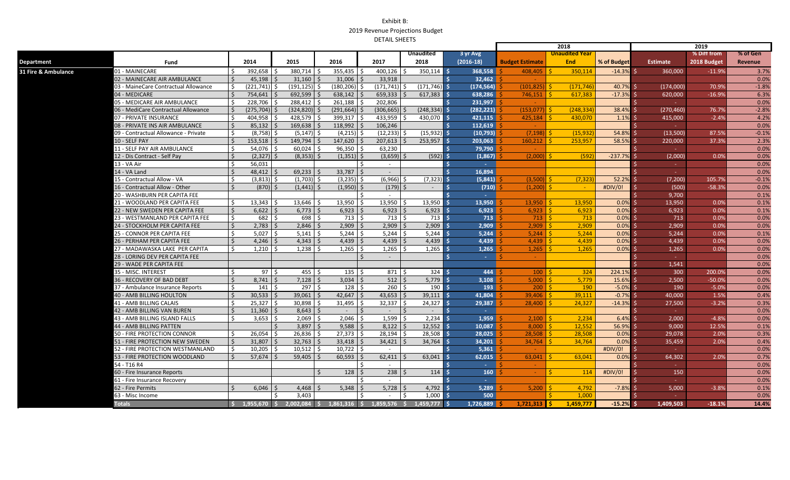|                     |                                      |                 |                 |                   |         |                |              |                         |                    |                         |                 |                                       | 2018                  |              |                 | 2019        |          |
|---------------------|--------------------------------------|-----------------|-----------------|-------------------|---------|----------------|--------------|-------------------------|--------------------|-------------------------|-----------------|---------------------------------------|-----------------------|--------------|-----------------|-------------|----------|
|                     |                                      |                 |                 |                   |         |                |              |                         | <b>Unaudited</b>   | 3 yr Avg                |                 |                                       | <b>Unaudited Year</b> |              |                 | % Diff from | % of Gen |
| Department          | Fund                                 | 2014            |                 | 2015              |         | 2016           | 2017         |                         | 2018               | $(2016-18)$             |                 | <b>Budget Estimate</b>                | <b>End</b>            | % of Budget  | <b>Estimate</b> | 2018 Budget | Revenue  |
| 31 Fire & Ambulance | 01 - MAINECARE                       | $\mathsf{S}$    | 392,658         | 380,714           |         | 355,435        |              | 400,126                 | $350,114$ \$       |                         | 368.558         | 408,405                               | 350,114               | $-14.3\%$ \$ | 360.000         | $-11.9%$    | 3.7%     |
|                     | 02 - MAINECARE AIR AMBULANCE         |                 | $45.198$   \$   | $31,160$ \$       |         | 31,006         |              | 33,918                  |                    |                         | 32.462          |                                       |                       |              |                 |             | 0.0%     |
|                     | 03 - MaineCare Contractual Allowance | Ŝ.              | $(221,741)$ \$  | (191, 125)        |         | (180.206)      | -Ś           | $(171, 741)$ \$         | $(171, 746)$ \$    |                         | (174, 564)      | $(101, 825)$ \$                       | (171, 746)            | 40.7% \$     | (174,000)       | 70.9%       | $-1.8%$  |
|                     | 04 - MEDICARE                        |                 | 754,641         | 692,599           |         | 638,142        |              | $659,333$ $\frac{1}{5}$ | $617,383$ \$       |                         | 638,286         | $746,151$ $\overline{\phantom{1}}$ \$ | 617.383               | $-17.3%$ \$  | 620,000         | $-16.9%$    | 6.3%     |
|                     | 05 - MEDICARE AIR AMBULANCE          | Ŝ.              | 228,706         | 288,412 \$        |         | 261,188        |              | 202,806                 |                    |                         | 231,997         |                                       |                       |              | <b>Contract</b> |             | 0.0%     |
|                     | 06 - MediCare Contractual Allowance  | $\zeta$         | $(275.704)$ \$  | (324.820)         |         | (291, 664)     |              | (306, 665)              | (248, 334)         | $\ddot{\phantom{1}}$    | (282.221)       | $(153.077)$ \$                        | (248.334)             | 38.4% \$     | (270, 460)      | 76.7%       | $-2.8%$  |
|                     | 07 - PRIVATE INSURANCE               | Ŝ.              | 404,958         | 428,579           |         | 399,317        |              | 433,959 \$              | 430,070            |                         | 421,115         | $425,184$   \$                        | 430.070               | $1.1\%$ \$   | 415,000         | $-2.4%$     | 4.2%     |
|                     | 08 - PRIVATE INS AIR AMBULANCE       | S.              | $85,132$   \$   | 169,638           | l S     | 118,992        |              | 106,246                 |                    |                         | 112,619         |                                       |                       |              | <b>Section</b>  |             | 0.0%     |
|                     | 09 - Contractual Allowance - Private | -Ś              | $(8,758)$ \$    | (5.147)           |         | (4, 215)       |              | (12, 233)               | (15, 932)          |                         | (10, 793)       | $(7, 198)$ \$                         | (15, 932)             | 54.8% \$     | (13,500)        | 87.5%       | $-0.1%$  |
|                     | 10 - SELF PAY                        | $\zeta$         | 153,518         | $149,794$ \$      |         | 147,620        |              | $207,613$ \$            | 253,957            | -ś                      | 203.063         | $160,212$ \$                          | 253,957               | 58.5% \$     | 220,000         | 37.3%       | 2.3%     |
|                     | 11 - SELF PAY AIR AMBULANCE          | \$              | 54,076          | 60,024            |         | 96,350         |              | 63,230                  |                    | -Ś                      | 79,790          |                                       |                       |              |                 |             | 0.0%     |
|                     | 12 - Dis Contract - Self Pay         | Ŝ.              | $(2,327)$ \$    | $(8,353)$ \$      |         | $(1,351)$ \$   |              | $(3,659)$ \$            | (592)              | -Ś                      | (1,867)         | $(2.000)$ \$                          | (592)                 | $-237.7%$ \$ | (2,000)         | 0.0%        | 0.0%     |
|                     | 13 - VA Air                          | $\zeta$         | 56.031          |                   |         |                | ς.           | $\sim$                  |                    |                         | .               |                                       |                       |              | $\sim$ .        |             | 0.0%     |
|                     | 14 - VA Land                         |                 | 48,412          | $69,233$   \$     |         | 33,787         | l \$         |                         |                    |                         | 16,894          |                                       |                       |              |                 |             | 0.0%     |
|                     | 15 - Contractual Allow - VA          | Ś.              | $(3,813)$ \$    | $(1,703)$ \$      |         | (3, 235)       | $\zeta$      | $(6,966)$ \$            | (7, 323)           |                         | (5,841)         | (3,500)                               | (7.323)               | $52.2%$ \$   | (7,200)         | 105.7%      | $-0.1%$  |
|                     | 16 - Contractual Allow - Other       | $\zeta$         | $(870)$ \$      | $(1,441)$ \$      |         | $(1,950)$ \$   |              | $(179)$ \$              | $\sim$             | $\ddot{\bm{\varsigma}}$ | (710)           | $(1,200)$ \$                          | $\sim$ $\sim$         | #DIV/0!      | (500)           | $-58.3%$    | 0.0%     |
|                     | 20 - WASHBURN PER CAPITA FEE         |                 |                 |                   |         |                |              | $\sim$                  |                    |                         | $\sim$          |                                       |                       |              | 9,700           |             | 0.1%     |
|                     | 21 - WOODLAND PER CAPITA FEE         | Ś.              | 13.343          | 13,646            |         | 13.950         | <b>S</b>     | $13,950$ \$             | 13,950             |                         | 13.950          | $13.950$ 5                            | 13.950                | $0.0\%$ \$   | 13.950          | 0.0%        | 0.1%     |
|                     | 22 - NEW SWEDEN PER CAPITA FEE       | $\mathsf{S}$    | $6,622$ \$      | $6,773$   \$      |         | 6,923          | S.           | $6,923$ \$              | 6,923              | -Ś                      | 6,923           | $6,923$ \$                            | 6,923                 | $0.0\%$ \$   | 6,923           | 0.0%        | 0.1%     |
|                     | 23 - WESTMANLAND PER CAPITA FEE      | Ŝ.              | 682             | 698<br>l \$       | l \$    | 713            | <b>S</b>     | 713   \$                | 713                | -Ś                      | 713             | $713$ $\overline{\phantom{1}}$ \$     | 713                   | $0.0%$ \$    | 713             | 0.0%        | 0.0%     |
|                     | 24 - STOCKHOLM PER CAPITA FEE        | \$              | $2,783$   \$    | $2,846$ \$        |         | 2,909          | \$           | $2,909$ \$              | 2,909              |                         | 2,909           | $2,909$ \$                            | 2,909                 | $0.0\%$ \$   | 2,909           | 0.0%        | 0.0%     |
|                     | 25 - CONNOR PER CAPITA FEE           | <b>S</b>        | $5,027$ \$      | $5,141$ \$        |         | $5,244$ \$     |              | $5,244$ \$              | 5,244              |                         | 5,244           | $5,244$ \$                            | 5,244                 | $0.0%$ \$    | 5,244           | 0.0%        | 0.1%     |
|                     | 26 - PERHAM PER CAPITA FEE           |                 | 4,246           | 4,343             |         | 4,439          |              | $4,439$ \$              | 4,439              |                         | 4,439           | $4,439$ \$                            | 4,439                 | $0.0%$ \$    | 4,439           | 0.0%        | 0.0%     |
|                     | 27 - MADAWASKA LAKE PER CAPITA       | Ś.              | 1,210           | 1,238             |         | 1,265          | Ś.           | $1,265$   \$            | 1,265              | -Ś                      | 1,265           | $1,265$   \$                          | 1,265                 | $0.0%$ \$    | 1,265           | 0.0%        | 0.0%     |
|                     | 28 - LORING DEV PER CAPITA FEE       |                 |                 |                   |         |                | $\zeta$      | $\sim$                  |                    | -                       | <b>Contract</b> | <b>College</b>                        |                       |              | $\sim 10^{-1}$  |             | 0.0%     |
|                     | 29 - WADE PER CAPITA FEE             |                 |                 |                   |         |                |              |                         |                    |                         |                 |                                       |                       |              | 1,541           |             | 0.0%     |
|                     | 35 - MISC. INTEREST                  | Š.              | 97 <sup>5</sup> | 455               | l \$    | 135            | Š.           | $871 \, \text{S}$       | 324                |                         | 444             | $100$   \$                            | 324                   | 224.1% \$    | 300             | 200.0%      | 0.0%     |
|                     | 36 - RECOVERY OF BAD DEBT            | $\zeta$         | $8,741$ \$      | $7,128$ \$        |         | 3,034          | S.           | $512$ \$                | 5,779              | - 4                     | 3,108           | $5,000$   \$                          | 5,779                 | 15.6% \$     | 2,500           | $-50.0%$    | 0.0%     |
|                     | 37 - Ambulance Insurance Reports     |                 | 141             | 297               |         | 128            | Ŝ            | $260 \frac{1}{5}$       | $190 \quad$ $\sim$ |                         | 193             | $200 \mid 5$                          | 190                   | $-5.0\%$ \$  | 190             | $-5.0%$     | 0.0%     |
|                     | <b>40 - AMB BILLING HOULTON</b>      | $\zeta$         | $30.533$   \$   | $39,061$ \$       |         | 42,647         | $\zeta$      | $43,653$ \$             | $39.111$ \$        |                         | 41.804          | $39.406$   \$                         | 39.111                | $-0.7\%$ \$  | 40.000          | 1.5%        | 0.4%     |
|                     | 41 - AMB BILLING CALAIS              | $\mathsf{S}$    | $25.327$ S      | $30.898$ \$       |         | 31,495         | $\zeta$      | $32,337$ \$             | 24,327             | - 4                     | 29.387          | $28.400$ 5                            | 24.327                | $-14.3\%$ \$ | 27,500          | $-3.2%$     | 0.3%     |
|                     | 42 - AMB BILLING VAN BUREN           |                 | 11,360          | $8.643$ \ \$      |         | $\sim$         | $\zeta$      | l s<br>$\sim$           | $\sim$             |                         | .               |                                       |                       |              | <b>Section</b>  |             | 0.0%     |
|                     | 43 - AMB BILLING ISLAND FALLS        | Ŝ.              | $3,653$ \$      | $2,069$ \$        |         | 2,046          | Ŝ.           | $1,599$ \$              | 2.234              |                         | 1.959           | $2.100$ S                             | 2.234                 | $6.4\%$ \$   | 2.000           | $-4.8%$     | 0.0%     |
|                     | <b>44 - AMB BILLING PATTEN</b>       |                 |                 | $3,897$ \$        |         | 9,588          | <sup>5</sup> | $8,122$ \$              | 12,552             |                         | 10.087          | $8,000$   \$                          | 12.552                | 56.9% \$     | 9.000           | 12.5%       | 0.1%     |
|                     | 50 - FIRE PROTECTION CONNOR          | Ŝ               | 26,054          | 26,836            |         | 27,373         |              | 28.194                  | 28,508             |                         | 28.025          | $28,508$ \$                           | 28.508                | $0.0\%$ \$   | 29,078          | 2.0%        | 0.3%     |
|                     | 51 - FIRE PROTECTION NEW SWEDEN      | $\zeta$         | $31,807$   \$   | $32,763$ \$       |         | 33,418         | I\$          | $34,421$ \$             | $34,764$ \$        |                         | 34,201          | $34.764$ S                            | 34.764                | $0.0\%$ \$   | 35,459          | 2.0%        | 0.4%     |
|                     | 52 - FIRE PROTECTION WESTMANLAND     | Ŝ.              | 10.205          | 10,512<br>$\zeta$ | l S     | 10.722         | -Ś           | $\sim$                  |                    |                         | 5.361           |                                       |                       | #DIV/0!      | المستندر        |             | 0.0%     |
|                     | 53 - FIRE PROTECTION WOODLAND        | $\mathsf{S}$    | $57,674$   \$   | $59,405$ \$       |         | 60,593         | S.           | $62,411$ \$             | 63.041             | -Ś.                     | 62.015          | $63,041$ \$                           | 63.041                | $0.0\%$ \$   | 64,302          | 2.0%        | 0.7%     |
|                     | 54 - T16 R4                          |                 |                 |                   |         |                |              |                         |                    |                         | $\sim 10$       |                                       |                       |              |                 |             | 0.0%     |
|                     | 60 - Fire Insurance Reports          |                 |                 |                   | $\zeta$ | 128            | Ŝ.           | $238$   \$              | 114                | -Ś                      | 160             | $\sim$                                | S.<br>114             | #DIV/0!      | 150             |             | 0.0%     |
|                     | 61 - Fire Insurance Recovery         |                 |                 |                   |         |                |              |                         |                    |                         |                 |                                       |                       |              |                 |             | 0.0%     |
|                     | 62 - Fire Permits                    | Ś               | 6,046           | 4,468             |         | 5,348          | Ŝ.           | $5,728$ \$              | 4,792              |                         | 5,289           | $5,200$ \$                            | 4,792                 | $-7.8\%$ \$  | 5,000           | $-3.8%$     | 0.1%     |
|                     | 63 - Misc Income                     |                 |                 | 3.403             |         |                |              | S.<br>$\sim$            | $1,000$ \$         |                         | 500             |                                       | 1.000                 |              | <b>Section</b>  |             | 0.0%     |
|                     | <b>Totals</b>                        | $$1,955,670$ \$ |                 | $2.002.084$ \$    |         | $1,861,316$ \$ |              | 1,859,576 \$            | 1,459,777          | 1,726,889<br>- \$       |                 | 1,721,313                             | 1,459,777             | $-15.2%$ \$  | 1,409,503       | $-18.1%$    | 14.4%    |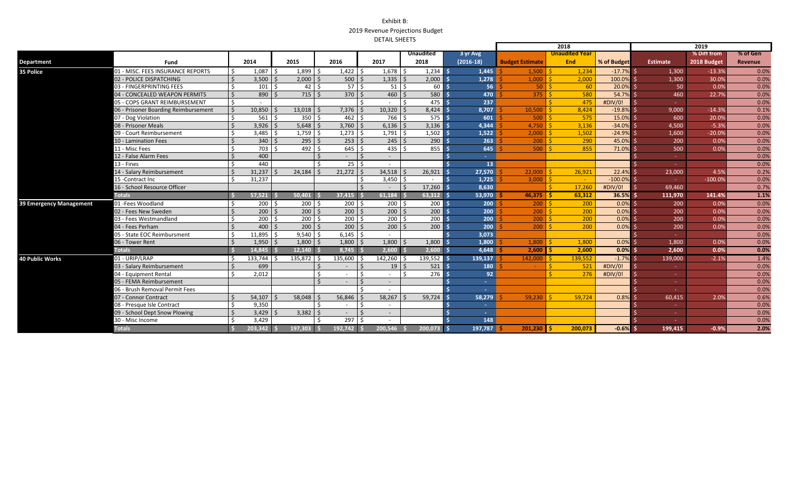| % Diff from<br>% of Gen<br><b>Unaudited</b><br>3 yr Avg<br><b>Unaudited Year</b><br>2014<br>2015<br>2016<br>2017<br>$(2016-18)$<br>2018<br>% of Budget<br><b>Budget Estimate</b><br><b>End</b><br><b>Estimate</b><br>2018 Budget<br><b>Department</b><br>Fund<br><b>Revenue</b><br>1,899<br>01 - MISC. FEES INSURANCE REPORTS<br>1.087<br>1,422<br>$1,678$ \$<br>$1,234$ \$<br>$-17.7%$ \$<br>Ŝ.<br>Ŝ.<br>1,445<br>1,500<br>1.234<br>1,300<br>$-13.3%$<br>35 Police<br>$2,000$ \ \$<br>500<br>$1,335$   \$<br>2,000<br>0.0%<br>S.<br>$3,500$   \$<br>1,278<br>2,000<br>100.0% \$<br>30.0%<br>02 - POLICE DISPATCHING<br>Ŝ.<br>1,000<br>1,300<br>57 <sup>1</sup><br>56<br>Ŝ.<br>$51 \overline{\text{S}}$<br>60<br>20.0% \$<br>03 - FINGERPRINTING FEES<br>$101 \quad$ \$<br>$42 \quad$<br>$50$ $\overline{\phantom{0}}$<br>60<br>50<br>0.0%<br>$370$ $\overline{\phantom{1}}$<br>$715$ \$<br>$460$ \$<br>580<br>470<br>890<br>$375$ $\overline{\phantom{1}}$ \$<br>580<br>$54.7%$ \$<br>460<br>22.7%<br>0.0%<br>04 - CONCEALED WEAPON PERMITS<br>$\zeta$<br>۱ś.<br>475<br>237<br>#DIV/0!<br>05 - COPS GRANT REIMBURSEMENT<br>$\mathsf{\hat{S}}$<br>475<br>10.850<br>7,376<br>$10,320$   \$<br>8,424<br>8,707<br>8,424<br>$-19.8\%$ \$<br>06 - Prisoner Boarding Reimbursement<br>Ŝ.<br>13,018<br>10,500<br>9.000<br>$\zeta$<br>$-14.3%$<br>350<br>561<br>462<br>766 \$<br>575<br>601<br>575<br>$\mathsf{S}$<br>500<br>15.0% \$<br>20.0%<br>07 - Dog Violation<br>l \$<br>600<br>08 - Prisoner Meals<br>$3.926$   \$<br>$5,648$   \$<br>3,760<br>3,136<br>4,344<br>$-34.0\%$ \$<br>$-5.3%$<br>$\zeta$<br>$6,136$   \$<br>4,750<br>3,136<br>4,500<br>$\zeta$<br>$1,759$ \$<br>1,502<br>09 - Court Reimbursement<br>Ŝ.<br>$3,485$ \$<br>1,273<br>$1,791$ \$<br>1,522<br>2,000<br>1,502<br>$-24.9%$ \$<br>$-20.0%$<br>Ŝ.<br>1,600<br>$340 \mid 5$<br>$295$ \$<br>253<br>290<br>$\zeta$<br>$\mathsf{S}$<br>$245$ \$<br>263<br>290<br>200<br>45.0% \$<br>200<br>0.0%<br>0.0%<br>10 - Lamination Fees<br>$\zeta$<br>645<br>703<br>492 \$<br>Ŝ.<br>$435$ \$<br>855<br>645<br>855<br>71.0% \$<br>11 - Misc Fees<br>$500$   \$<br>500<br>0.0%<br>0.0%<br>$\mathsf{S}$<br>$\zeta$<br>0.0%<br>12 - False Alarm Fees<br>400<br>$\sim$<br>440<br>13 - Fines<br>$\zeta$<br>25<br>Ŝ.<br>13 <sup>°</sup><br>0.0%<br>$\sim 10$<br>21,272<br>$\zeta$<br>31,237<br>24,184<br>$\zeta$<br>$34,518$ \$<br>26,921<br>27,570<br>26,921<br>14 - Salary Reimbursement<br>22,000<br>$22.4%$ \$<br>23,000<br>4.5%<br>31,237<br>$-100.0\%$ \$<br>0.0%<br>$3,450$ \$<br>1,725<br>$3,000$   \$<br>15 - Contract Inc<br>$-100.09$<br>$\sim$<br>16 - School Resource Officer<br>$\zeta$<br>$\vert$ \$<br>17,260<br>8,630<br>17.260<br>#DIV/0!<br>69.460<br>-¢<br>l S<br><b>Totals</b><br>63.312 \$<br>$36.5%$ \$<br>57.521<br>$50.401$ \$<br>$37.415$ \$<br>$61.184$ \$<br>53,970<br>$46.375$ S<br>63,312<br>111.970<br>141.4%<br>$200 \,$ S<br>$200 \,$ $\bar{5}$<br>200 l<br>$200 \mid$ \$<br>$200 \, \text{S}$<br>200<br>$0.0\%$ \$<br>01 - Fees Woodland<br>200<br>200<br>-Ŝ<br>0.0%<br>39 Emergency Management<br>$200 \mid 5$<br>$200 \, \text{S}$<br>$200 \mid$ \$<br>$\mathsf{S}$<br>$200 \, \text{S}$<br>$200$   \$<br>200<br>200<br>$200$   \$<br>200<br>$0.0\%$ \$<br>200<br>0.0%<br>02 - Fees New Sweden<br>200<br>$200 \div$<br>$200 \,$ \$<br>200<br>Ŝ.<br>$200 \mid 5$<br>Ŝ<br>200<br>200<br>$0.0\%$<br>200<br>03 - Fees Westmandland<br>$200$   \$<br>0.0%<br>200<br>$200 \mid$ \$<br>$200$   \$<br>200<br>200<br>0.0%<br>$400$ \$<br>Ŝ.<br>$200$   \$<br>200<br>$0.0\%$ \$<br>200<br>04 - Fees Perham<br>$\zeta$<br>0.0%<br>$11,895$ \$<br>$9,540$ \$<br>6,145<br>$\mathsf{S}$<br>0.0%<br>05 - State EOC Reimbursment<br>Ŝ.<br>3.073<br>$1,950$   \$<br>$1,800$   \$<br>$1,800$ \$<br>$1,800$   \$<br>1,800<br>1,800<br>$0.0\%$ \$<br>06 - Tower Rent<br>$\zeta$<br>1,800<br>1,800<br>1,800<br>0.0%<br><b>Totals</b><br>2,600<br>$2,600$ \$<br>4,648<br>$0.0\%$ \$<br>14,845<br>$12,140$ \$<br>$8,745$ \$<br>$2,600$   \$<br>2,600<br>2,600<br>0.0%<br>01 - URIP/LRAP<br>133.744<br>135,872<br>135,600<br>142.260 \$<br>139.552<br>139.137<br><b>40 Public Works</b><br>$142.000$ S<br>139.552<br>$-1.7\%$ \$<br>139.000<br>$-2.1%$<br>-S<br>03 - Salary Reimbursement<br>$\zeta$<br>699<br>$19$ \$<br>521<br>180<br>521<br>#DIV/0!<br>-Ś<br>$\overline{\phantom{a}}$<br><b>Section</b><br>2.012<br>$276$ \$<br>92<br>276<br>04 - Equipment Rental<br>Ś.<br>Š.<br>l s<br>S.<br>#DIV/0!<br>$\sim 10$<br>05 - FEMA Reimbursement<br>$\zeta$<br>$\zeta$<br><b>Sec</b><br>$\overline{\phantom{a}}$<br>$\sim 10$<br>06 - Brush Removal Permit Fees<br>$\sim$<br>56,846<br>$\zeta$<br>54.107<br>58,048<br>58,267<br>59,724<br>59.724<br>07 - Connor Contract<br>$\zeta$<br>58,279<br>$59.230$   \$<br>$0.8\%$ s<br>60.415<br>2.0%<br>9.350<br>0.0%<br>08 - Presque Isle Contract<br>$\mathsf{S}$<br>Š.<br>$\sim$<br>$\sim$<br>Ŝ.<br>3.429<br>$3,382$   \$<br>0.0%<br>09 - School Dept Snow Plowing<br>$\zeta$<br>$\sim$<br>$\sim$<br><b>Section</b><br>S.<br>3,429<br>297<br>0.0%<br>30 - Misc Income<br>148<br><b>Totals</b><br>203,342<br>$197,303$ \$<br>$-0.6\%$<br>$-0.9%$<br>192.742<br>200.546<br>200.073<br>197,787<br>$201,230$ 5<br>200.073<br>199,415 |  |  |  |  |  |  |  |  |  | 2018 | 2019 |  |      |  |
|------------------------------------------------------------------------------------------------------------------------------------------------------------------------------------------------------------------------------------------------------------------------------------------------------------------------------------------------------------------------------------------------------------------------------------------------------------------------------------------------------------------------------------------------------------------------------------------------------------------------------------------------------------------------------------------------------------------------------------------------------------------------------------------------------------------------------------------------------------------------------------------------------------------------------------------------------------------------------------------------------------------------------------------------------------------------------------------------------------------------------------------------------------------------------------------------------------------------------------------------------------------------------------------------------------------------------------------------------------------------------------------------------------------------------------------------------------------------------------------------------------------------------------------------------------------------------------------------------------------------------------------------------------------------------------------------------------------------------------------------------------------------------------------------------------------------------------------------------------------------------------------------------------------------------------------------------------------------------------------------------------------------------------------------------------------------------------------------------------------------------------------------------------------------------------------------------------------------------------------------------------------------------------------------------------------------------------------------------------------------------------------------------------------------------------------------------------------------------------------------------------------------------------------------------------------------------------------------------------------------------------------------------------------------------------------------------------------------------------------------------------------------------------------------------------------------------------------------------------------------------------------------------------------------------------------------------------------------------------------------------------------------------------------------------------------------------------------------------------------------------------------------------------------------------------------------------------------------------------------------------------------------------------------------------------------------------------------------------------------------------------------------------------------------------------------------------------------------------------------------------------------------------------------------------------------------------------------------------------------------------------------------------------------------------------------------------------------------------------------------------------------------------------------------------------------------------------------------------------------------------------------------------------------------------------------------------------------------------------------------------------------------------------------------------------------------------------------------------------------------------------------------------------------------------------------------------------------------------------------------------------------------------------------------------------------------------------------------------------------------------------------------------------------------------------------------------------------------------------------------------------------------------------------------------------------------------------------------------------------------------------------------------------------------------------------------------------------------------------------------------------------------------------------------------------------------------------------------------------------------------------------------------------------------------------------------------------------------------------------------------------------------------------------------------------------------------------------------------------------------------------------------------------------------------------------------------------------------------------------|--|--|--|--|--|--|--|--|--|------|------|--|------|--|
|                                                                                                                                                                                                                                                                                                                                                                                                                                                                                                                                                                                                                                                                                                                                                                                                                                                                                                                                                                                                                                                                                                                                                                                                                                                                                                                                                                                                                                                                                                                                                                                                                                                                                                                                                                                                                                                                                                                                                                                                                                                                                                                                                                                                                                                                                                                                                                                                                                                                                                                                                                                                                                                                                                                                                                                                                                                                                                                                                                                                                                                                                                                                                                                                                                                                                                                                                                                                                                                                                                                                                                                                                                                                                                                                                                                                                                                                                                                                                                                                                                                                                                                                                                                                                                                                                                                                                                                                                                                                                                                                                                                                                                                                                                                                                                                                                                                                                                                                                                                                                                                                                                                                                                                                                                          |  |  |  |  |  |  |  |  |  |      |      |  |      |  |
|                                                                                                                                                                                                                                                                                                                                                                                                                                                                                                                                                                                                                                                                                                                                                                                                                                                                                                                                                                                                                                                                                                                                                                                                                                                                                                                                                                                                                                                                                                                                                                                                                                                                                                                                                                                                                                                                                                                                                                                                                                                                                                                                                                                                                                                                                                                                                                                                                                                                                                                                                                                                                                                                                                                                                                                                                                                                                                                                                                                                                                                                                                                                                                                                                                                                                                                                                                                                                                                                                                                                                                                                                                                                                                                                                                                                                                                                                                                                                                                                                                                                                                                                                                                                                                                                                                                                                                                                                                                                                                                                                                                                                                                                                                                                                                                                                                                                                                                                                                                                                                                                                                                                                                                                                                          |  |  |  |  |  |  |  |  |  |      |      |  |      |  |
|                                                                                                                                                                                                                                                                                                                                                                                                                                                                                                                                                                                                                                                                                                                                                                                                                                                                                                                                                                                                                                                                                                                                                                                                                                                                                                                                                                                                                                                                                                                                                                                                                                                                                                                                                                                                                                                                                                                                                                                                                                                                                                                                                                                                                                                                                                                                                                                                                                                                                                                                                                                                                                                                                                                                                                                                                                                                                                                                                                                                                                                                                                                                                                                                                                                                                                                                                                                                                                                                                                                                                                                                                                                                                                                                                                                                                                                                                                                                                                                                                                                                                                                                                                                                                                                                                                                                                                                                                                                                                                                                                                                                                                                                                                                                                                                                                                                                                                                                                                                                                                                                                                                                                                                                                                          |  |  |  |  |  |  |  |  |  |      |      |  | 0.0% |  |
|                                                                                                                                                                                                                                                                                                                                                                                                                                                                                                                                                                                                                                                                                                                                                                                                                                                                                                                                                                                                                                                                                                                                                                                                                                                                                                                                                                                                                                                                                                                                                                                                                                                                                                                                                                                                                                                                                                                                                                                                                                                                                                                                                                                                                                                                                                                                                                                                                                                                                                                                                                                                                                                                                                                                                                                                                                                                                                                                                                                                                                                                                                                                                                                                                                                                                                                                                                                                                                                                                                                                                                                                                                                                                                                                                                                                                                                                                                                                                                                                                                                                                                                                                                                                                                                                                                                                                                                                                                                                                                                                                                                                                                                                                                                                                                                                                                                                                                                                                                                                                                                                                                                                                                                                                                          |  |  |  |  |  |  |  |  |  |      |      |  |      |  |
|                                                                                                                                                                                                                                                                                                                                                                                                                                                                                                                                                                                                                                                                                                                                                                                                                                                                                                                                                                                                                                                                                                                                                                                                                                                                                                                                                                                                                                                                                                                                                                                                                                                                                                                                                                                                                                                                                                                                                                                                                                                                                                                                                                                                                                                                                                                                                                                                                                                                                                                                                                                                                                                                                                                                                                                                                                                                                                                                                                                                                                                                                                                                                                                                                                                                                                                                                                                                                                                                                                                                                                                                                                                                                                                                                                                                                                                                                                                                                                                                                                                                                                                                                                                                                                                                                                                                                                                                                                                                                                                                                                                                                                                                                                                                                                                                                                                                                                                                                                                                                                                                                                                                                                                                                                          |  |  |  |  |  |  |  |  |  |      |      |  | 0.0% |  |
|                                                                                                                                                                                                                                                                                                                                                                                                                                                                                                                                                                                                                                                                                                                                                                                                                                                                                                                                                                                                                                                                                                                                                                                                                                                                                                                                                                                                                                                                                                                                                                                                                                                                                                                                                                                                                                                                                                                                                                                                                                                                                                                                                                                                                                                                                                                                                                                                                                                                                                                                                                                                                                                                                                                                                                                                                                                                                                                                                                                                                                                                                                                                                                                                                                                                                                                                                                                                                                                                                                                                                                                                                                                                                                                                                                                                                                                                                                                                                                                                                                                                                                                                                                                                                                                                                                                                                                                                                                                                                                                                                                                                                                                                                                                                                                                                                                                                                                                                                                                                                                                                                                                                                                                                                                          |  |  |  |  |  |  |  |  |  |      |      |  |      |  |
|                                                                                                                                                                                                                                                                                                                                                                                                                                                                                                                                                                                                                                                                                                                                                                                                                                                                                                                                                                                                                                                                                                                                                                                                                                                                                                                                                                                                                                                                                                                                                                                                                                                                                                                                                                                                                                                                                                                                                                                                                                                                                                                                                                                                                                                                                                                                                                                                                                                                                                                                                                                                                                                                                                                                                                                                                                                                                                                                                                                                                                                                                                                                                                                                                                                                                                                                                                                                                                                                                                                                                                                                                                                                                                                                                                                                                                                                                                                                                                                                                                                                                                                                                                                                                                                                                                                                                                                                                                                                                                                                                                                                                                                                                                                                                                                                                                                                                                                                                                                                                                                                                                                                                                                                                                          |  |  |  |  |  |  |  |  |  |      |      |  | 0.0% |  |
|                                                                                                                                                                                                                                                                                                                                                                                                                                                                                                                                                                                                                                                                                                                                                                                                                                                                                                                                                                                                                                                                                                                                                                                                                                                                                                                                                                                                                                                                                                                                                                                                                                                                                                                                                                                                                                                                                                                                                                                                                                                                                                                                                                                                                                                                                                                                                                                                                                                                                                                                                                                                                                                                                                                                                                                                                                                                                                                                                                                                                                                                                                                                                                                                                                                                                                                                                                                                                                                                                                                                                                                                                                                                                                                                                                                                                                                                                                                                                                                                                                                                                                                                                                                                                                                                                                                                                                                                                                                                                                                                                                                                                                                                                                                                                                                                                                                                                                                                                                                                                                                                                                                                                                                                                                          |  |  |  |  |  |  |  |  |  |      |      |  | 0.1% |  |
|                                                                                                                                                                                                                                                                                                                                                                                                                                                                                                                                                                                                                                                                                                                                                                                                                                                                                                                                                                                                                                                                                                                                                                                                                                                                                                                                                                                                                                                                                                                                                                                                                                                                                                                                                                                                                                                                                                                                                                                                                                                                                                                                                                                                                                                                                                                                                                                                                                                                                                                                                                                                                                                                                                                                                                                                                                                                                                                                                                                                                                                                                                                                                                                                                                                                                                                                                                                                                                                                                                                                                                                                                                                                                                                                                                                                                                                                                                                                                                                                                                                                                                                                                                                                                                                                                                                                                                                                                                                                                                                                                                                                                                                                                                                                                                                                                                                                                                                                                                                                                                                                                                                                                                                                                                          |  |  |  |  |  |  |  |  |  |      |      |  | 0.0% |  |
|                                                                                                                                                                                                                                                                                                                                                                                                                                                                                                                                                                                                                                                                                                                                                                                                                                                                                                                                                                                                                                                                                                                                                                                                                                                                                                                                                                                                                                                                                                                                                                                                                                                                                                                                                                                                                                                                                                                                                                                                                                                                                                                                                                                                                                                                                                                                                                                                                                                                                                                                                                                                                                                                                                                                                                                                                                                                                                                                                                                                                                                                                                                                                                                                                                                                                                                                                                                                                                                                                                                                                                                                                                                                                                                                                                                                                                                                                                                                                                                                                                                                                                                                                                                                                                                                                                                                                                                                                                                                                                                                                                                                                                                                                                                                                                                                                                                                                                                                                                                                                                                                                                                                                                                                                                          |  |  |  |  |  |  |  |  |  |      |      |  | 0.0% |  |
|                                                                                                                                                                                                                                                                                                                                                                                                                                                                                                                                                                                                                                                                                                                                                                                                                                                                                                                                                                                                                                                                                                                                                                                                                                                                                                                                                                                                                                                                                                                                                                                                                                                                                                                                                                                                                                                                                                                                                                                                                                                                                                                                                                                                                                                                                                                                                                                                                                                                                                                                                                                                                                                                                                                                                                                                                                                                                                                                                                                                                                                                                                                                                                                                                                                                                                                                                                                                                                                                                                                                                                                                                                                                                                                                                                                                                                                                                                                                                                                                                                                                                                                                                                                                                                                                                                                                                                                                                                                                                                                                                                                                                                                                                                                                                                                                                                                                                                                                                                                                                                                                                                                                                                                                                                          |  |  |  |  |  |  |  |  |  |      |      |  | 0.0% |  |
|                                                                                                                                                                                                                                                                                                                                                                                                                                                                                                                                                                                                                                                                                                                                                                                                                                                                                                                                                                                                                                                                                                                                                                                                                                                                                                                                                                                                                                                                                                                                                                                                                                                                                                                                                                                                                                                                                                                                                                                                                                                                                                                                                                                                                                                                                                                                                                                                                                                                                                                                                                                                                                                                                                                                                                                                                                                                                                                                                                                                                                                                                                                                                                                                                                                                                                                                                                                                                                                                                                                                                                                                                                                                                                                                                                                                                                                                                                                                                                                                                                                                                                                                                                                                                                                                                                                                                                                                                                                                                                                                                                                                                                                                                                                                                                                                                                                                                                                                                                                                                                                                                                                                                                                                                                          |  |  |  |  |  |  |  |  |  |      |      |  |      |  |
|                                                                                                                                                                                                                                                                                                                                                                                                                                                                                                                                                                                                                                                                                                                                                                                                                                                                                                                                                                                                                                                                                                                                                                                                                                                                                                                                                                                                                                                                                                                                                                                                                                                                                                                                                                                                                                                                                                                                                                                                                                                                                                                                                                                                                                                                                                                                                                                                                                                                                                                                                                                                                                                                                                                                                                                                                                                                                                                                                                                                                                                                                                                                                                                                                                                                                                                                                                                                                                                                                                                                                                                                                                                                                                                                                                                                                                                                                                                                                                                                                                                                                                                                                                                                                                                                                                                                                                                                                                                                                                                                                                                                                                                                                                                                                                                                                                                                                                                                                                                                                                                                                                                                                                                                                                          |  |  |  |  |  |  |  |  |  |      |      |  |      |  |
|                                                                                                                                                                                                                                                                                                                                                                                                                                                                                                                                                                                                                                                                                                                                                                                                                                                                                                                                                                                                                                                                                                                                                                                                                                                                                                                                                                                                                                                                                                                                                                                                                                                                                                                                                                                                                                                                                                                                                                                                                                                                                                                                                                                                                                                                                                                                                                                                                                                                                                                                                                                                                                                                                                                                                                                                                                                                                                                                                                                                                                                                                                                                                                                                                                                                                                                                                                                                                                                                                                                                                                                                                                                                                                                                                                                                                                                                                                                                                                                                                                                                                                                                                                                                                                                                                                                                                                                                                                                                                                                                                                                                                                                                                                                                                                                                                                                                                                                                                                                                                                                                                                                                                                                                                                          |  |  |  |  |  |  |  |  |  |      |      |  |      |  |
|                                                                                                                                                                                                                                                                                                                                                                                                                                                                                                                                                                                                                                                                                                                                                                                                                                                                                                                                                                                                                                                                                                                                                                                                                                                                                                                                                                                                                                                                                                                                                                                                                                                                                                                                                                                                                                                                                                                                                                                                                                                                                                                                                                                                                                                                                                                                                                                                                                                                                                                                                                                                                                                                                                                                                                                                                                                                                                                                                                                                                                                                                                                                                                                                                                                                                                                                                                                                                                                                                                                                                                                                                                                                                                                                                                                                                                                                                                                                                                                                                                                                                                                                                                                                                                                                                                                                                                                                                                                                                                                                                                                                                                                                                                                                                                                                                                                                                                                                                                                                                                                                                                                                                                                                                                          |  |  |  |  |  |  |  |  |  |      |      |  |      |  |
|                                                                                                                                                                                                                                                                                                                                                                                                                                                                                                                                                                                                                                                                                                                                                                                                                                                                                                                                                                                                                                                                                                                                                                                                                                                                                                                                                                                                                                                                                                                                                                                                                                                                                                                                                                                                                                                                                                                                                                                                                                                                                                                                                                                                                                                                                                                                                                                                                                                                                                                                                                                                                                                                                                                                                                                                                                                                                                                                                                                                                                                                                                                                                                                                                                                                                                                                                                                                                                                                                                                                                                                                                                                                                                                                                                                                                                                                                                                                                                                                                                                                                                                                                                                                                                                                                                                                                                                                                                                                                                                                                                                                                                                                                                                                                                                                                                                                                                                                                                                                                                                                                                                                                                                                                                          |  |  |  |  |  |  |  |  |  |      |      |  | 0.2% |  |
|                                                                                                                                                                                                                                                                                                                                                                                                                                                                                                                                                                                                                                                                                                                                                                                                                                                                                                                                                                                                                                                                                                                                                                                                                                                                                                                                                                                                                                                                                                                                                                                                                                                                                                                                                                                                                                                                                                                                                                                                                                                                                                                                                                                                                                                                                                                                                                                                                                                                                                                                                                                                                                                                                                                                                                                                                                                                                                                                                                                                                                                                                                                                                                                                                                                                                                                                                                                                                                                                                                                                                                                                                                                                                                                                                                                                                                                                                                                                                                                                                                                                                                                                                                                                                                                                                                                                                                                                                                                                                                                                                                                                                                                                                                                                                                                                                                                                                                                                                                                                                                                                                                                                                                                                                                          |  |  |  |  |  |  |  |  |  |      |      |  |      |  |
|                                                                                                                                                                                                                                                                                                                                                                                                                                                                                                                                                                                                                                                                                                                                                                                                                                                                                                                                                                                                                                                                                                                                                                                                                                                                                                                                                                                                                                                                                                                                                                                                                                                                                                                                                                                                                                                                                                                                                                                                                                                                                                                                                                                                                                                                                                                                                                                                                                                                                                                                                                                                                                                                                                                                                                                                                                                                                                                                                                                                                                                                                                                                                                                                                                                                                                                                                                                                                                                                                                                                                                                                                                                                                                                                                                                                                                                                                                                                                                                                                                                                                                                                                                                                                                                                                                                                                                                                                                                                                                                                                                                                                                                                                                                                                                                                                                                                                                                                                                                                                                                                                                                                                                                                                                          |  |  |  |  |  |  |  |  |  |      |      |  | 0.7% |  |
|                                                                                                                                                                                                                                                                                                                                                                                                                                                                                                                                                                                                                                                                                                                                                                                                                                                                                                                                                                                                                                                                                                                                                                                                                                                                                                                                                                                                                                                                                                                                                                                                                                                                                                                                                                                                                                                                                                                                                                                                                                                                                                                                                                                                                                                                                                                                                                                                                                                                                                                                                                                                                                                                                                                                                                                                                                                                                                                                                                                                                                                                                                                                                                                                                                                                                                                                                                                                                                                                                                                                                                                                                                                                                                                                                                                                                                                                                                                                                                                                                                                                                                                                                                                                                                                                                                                                                                                                                                                                                                                                                                                                                                                                                                                                                                                                                                                                                                                                                                                                                                                                                                                                                                                                                                          |  |  |  |  |  |  |  |  |  |      |      |  | 1.1% |  |
|                                                                                                                                                                                                                                                                                                                                                                                                                                                                                                                                                                                                                                                                                                                                                                                                                                                                                                                                                                                                                                                                                                                                                                                                                                                                                                                                                                                                                                                                                                                                                                                                                                                                                                                                                                                                                                                                                                                                                                                                                                                                                                                                                                                                                                                                                                                                                                                                                                                                                                                                                                                                                                                                                                                                                                                                                                                                                                                                                                                                                                                                                                                                                                                                                                                                                                                                                                                                                                                                                                                                                                                                                                                                                                                                                                                                                                                                                                                                                                                                                                                                                                                                                                                                                                                                                                                                                                                                                                                                                                                                                                                                                                                                                                                                                                                                                                                                                                                                                                                                                                                                                                                                                                                                                                          |  |  |  |  |  |  |  |  |  |      |      |  | 0.0% |  |
|                                                                                                                                                                                                                                                                                                                                                                                                                                                                                                                                                                                                                                                                                                                                                                                                                                                                                                                                                                                                                                                                                                                                                                                                                                                                                                                                                                                                                                                                                                                                                                                                                                                                                                                                                                                                                                                                                                                                                                                                                                                                                                                                                                                                                                                                                                                                                                                                                                                                                                                                                                                                                                                                                                                                                                                                                                                                                                                                                                                                                                                                                                                                                                                                                                                                                                                                                                                                                                                                                                                                                                                                                                                                                                                                                                                                                                                                                                                                                                                                                                                                                                                                                                                                                                                                                                                                                                                                                                                                                                                                                                                                                                                                                                                                                                                                                                                                                                                                                                                                                                                                                                                                                                                                                                          |  |  |  |  |  |  |  |  |  |      |      |  | 0.0% |  |
|                                                                                                                                                                                                                                                                                                                                                                                                                                                                                                                                                                                                                                                                                                                                                                                                                                                                                                                                                                                                                                                                                                                                                                                                                                                                                                                                                                                                                                                                                                                                                                                                                                                                                                                                                                                                                                                                                                                                                                                                                                                                                                                                                                                                                                                                                                                                                                                                                                                                                                                                                                                                                                                                                                                                                                                                                                                                                                                                                                                                                                                                                                                                                                                                                                                                                                                                                                                                                                                                                                                                                                                                                                                                                                                                                                                                                                                                                                                                                                                                                                                                                                                                                                                                                                                                                                                                                                                                                                                                                                                                                                                                                                                                                                                                                                                                                                                                                                                                                                                                                                                                                                                                                                                                                                          |  |  |  |  |  |  |  |  |  |      |      |  | 0.0% |  |
|                                                                                                                                                                                                                                                                                                                                                                                                                                                                                                                                                                                                                                                                                                                                                                                                                                                                                                                                                                                                                                                                                                                                                                                                                                                                                                                                                                                                                                                                                                                                                                                                                                                                                                                                                                                                                                                                                                                                                                                                                                                                                                                                                                                                                                                                                                                                                                                                                                                                                                                                                                                                                                                                                                                                                                                                                                                                                                                                                                                                                                                                                                                                                                                                                                                                                                                                                                                                                                                                                                                                                                                                                                                                                                                                                                                                                                                                                                                                                                                                                                                                                                                                                                                                                                                                                                                                                                                                                                                                                                                                                                                                                                                                                                                                                                                                                                                                                                                                                                                                                                                                                                                                                                                                                                          |  |  |  |  |  |  |  |  |  |      |      |  |      |  |
|                                                                                                                                                                                                                                                                                                                                                                                                                                                                                                                                                                                                                                                                                                                                                                                                                                                                                                                                                                                                                                                                                                                                                                                                                                                                                                                                                                                                                                                                                                                                                                                                                                                                                                                                                                                                                                                                                                                                                                                                                                                                                                                                                                                                                                                                                                                                                                                                                                                                                                                                                                                                                                                                                                                                                                                                                                                                                                                                                                                                                                                                                                                                                                                                                                                                                                                                                                                                                                                                                                                                                                                                                                                                                                                                                                                                                                                                                                                                                                                                                                                                                                                                                                                                                                                                                                                                                                                                                                                                                                                                                                                                                                                                                                                                                                                                                                                                                                                                                                                                                                                                                                                                                                                                                                          |  |  |  |  |  |  |  |  |  |      |      |  |      |  |
|                                                                                                                                                                                                                                                                                                                                                                                                                                                                                                                                                                                                                                                                                                                                                                                                                                                                                                                                                                                                                                                                                                                                                                                                                                                                                                                                                                                                                                                                                                                                                                                                                                                                                                                                                                                                                                                                                                                                                                                                                                                                                                                                                                                                                                                                                                                                                                                                                                                                                                                                                                                                                                                                                                                                                                                                                                                                                                                                                                                                                                                                                                                                                                                                                                                                                                                                                                                                                                                                                                                                                                                                                                                                                                                                                                                                                                                                                                                                                                                                                                                                                                                                                                                                                                                                                                                                                                                                                                                                                                                                                                                                                                                                                                                                                                                                                                                                                                                                                                                                                                                                                                                                                                                                                                          |  |  |  |  |  |  |  |  |  |      |      |  | 0.0% |  |
|                                                                                                                                                                                                                                                                                                                                                                                                                                                                                                                                                                                                                                                                                                                                                                                                                                                                                                                                                                                                                                                                                                                                                                                                                                                                                                                                                                                                                                                                                                                                                                                                                                                                                                                                                                                                                                                                                                                                                                                                                                                                                                                                                                                                                                                                                                                                                                                                                                                                                                                                                                                                                                                                                                                                                                                                                                                                                                                                                                                                                                                                                                                                                                                                                                                                                                                                                                                                                                                                                                                                                                                                                                                                                                                                                                                                                                                                                                                                                                                                                                                                                                                                                                                                                                                                                                                                                                                                                                                                                                                                                                                                                                                                                                                                                                                                                                                                                                                                                                                                                                                                                                                                                                                                                                          |  |  |  |  |  |  |  |  |  |      |      |  | 0.0% |  |
|                                                                                                                                                                                                                                                                                                                                                                                                                                                                                                                                                                                                                                                                                                                                                                                                                                                                                                                                                                                                                                                                                                                                                                                                                                                                                                                                                                                                                                                                                                                                                                                                                                                                                                                                                                                                                                                                                                                                                                                                                                                                                                                                                                                                                                                                                                                                                                                                                                                                                                                                                                                                                                                                                                                                                                                                                                                                                                                                                                                                                                                                                                                                                                                                                                                                                                                                                                                                                                                                                                                                                                                                                                                                                                                                                                                                                                                                                                                                                                                                                                                                                                                                                                                                                                                                                                                                                                                                                                                                                                                                                                                                                                                                                                                                                                                                                                                                                                                                                                                                                                                                                                                                                                                                                                          |  |  |  |  |  |  |  |  |  |      |      |  | 1.4% |  |
|                                                                                                                                                                                                                                                                                                                                                                                                                                                                                                                                                                                                                                                                                                                                                                                                                                                                                                                                                                                                                                                                                                                                                                                                                                                                                                                                                                                                                                                                                                                                                                                                                                                                                                                                                                                                                                                                                                                                                                                                                                                                                                                                                                                                                                                                                                                                                                                                                                                                                                                                                                                                                                                                                                                                                                                                                                                                                                                                                                                                                                                                                                                                                                                                                                                                                                                                                                                                                                                                                                                                                                                                                                                                                                                                                                                                                                                                                                                                                                                                                                                                                                                                                                                                                                                                                                                                                                                                                                                                                                                                                                                                                                                                                                                                                                                                                                                                                                                                                                                                                                                                                                                                                                                                                                          |  |  |  |  |  |  |  |  |  |      |      |  | 0.0% |  |
|                                                                                                                                                                                                                                                                                                                                                                                                                                                                                                                                                                                                                                                                                                                                                                                                                                                                                                                                                                                                                                                                                                                                                                                                                                                                                                                                                                                                                                                                                                                                                                                                                                                                                                                                                                                                                                                                                                                                                                                                                                                                                                                                                                                                                                                                                                                                                                                                                                                                                                                                                                                                                                                                                                                                                                                                                                                                                                                                                                                                                                                                                                                                                                                                                                                                                                                                                                                                                                                                                                                                                                                                                                                                                                                                                                                                                                                                                                                                                                                                                                                                                                                                                                                                                                                                                                                                                                                                                                                                                                                                                                                                                                                                                                                                                                                                                                                                                                                                                                                                                                                                                                                                                                                                                                          |  |  |  |  |  |  |  |  |  |      |      |  | 0.0% |  |
|                                                                                                                                                                                                                                                                                                                                                                                                                                                                                                                                                                                                                                                                                                                                                                                                                                                                                                                                                                                                                                                                                                                                                                                                                                                                                                                                                                                                                                                                                                                                                                                                                                                                                                                                                                                                                                                                                                                                                                                                                                                                                                                                                                                                                                                                                                                                                                                                                                                                                                                                                                                                                                                                                                                                                                                                                                                                                                                                                                                                                                                                                                                                                                                                                                                                                                                                                                                                                                                                                                                                                                                                                                                                                                                                                                                                                                                                                                                                                                                                                                                                                                                                                                                                                                                                                                                                                                                                                                                                                                                                                                                                                                                                                                                                                                                                                                                                                                                                                                                                                                                                                                                                                                                                                                          |  |  |  |  |  |  |  |  |  |      |      |  | 0.0% |  |
|                                                                                                                                                                                                                                                                                                                                                                                                                                                                                                                                                                                                                                                                                                                                                                                                                                                                                                                                                                                                                                                                                                                                                                                                                                                                                                                                                                                                                                                                                                                                                                                                                                                                                                                                                                                                                                                                                                                                                                                                                                                                                                                                                                                                                                                                                                                                                                                                                                                                                                                                                                                                                                                                                                                                                                                                                                                                                                                                                                                                                                                                                                                                                                                                                                                                                                                                                                                                                                                                                                                                                                                                                                                                                                                                                                                                                                                                                                                                                                                                                                                                                                                                                                                                                                                                                                                                                                                                                                                                                                                                                                                                                                                                                                                                                                                                                                                                                                                                                                                                                                                                                                                                                                                                                                          |  |  |  |  |  |  |  |  |  |      |      |  | 0.0% |  |
|                                                                                                                                                                                                                                                                                                                                                                                                                                                                                                                                                                                                                                                                                                                                                                                                                                                                                                                                                                                                                                                                                                                                                                                                                                                                                                                                                                                                                                                                                                                                                                                                                                                                                                                                                                                                                                                                                                                                                                                                                                                                                                                                                                                                                                                                                                                                                                                                                                                                                                                                                                                                                                                                                                                                                                                                                                                                                                                                                                                                                                                                                                                                                                                                                                                                                                                                                                                                                                                                                                                                                                                                                                                                                                                                                                                                                                                                                                                                                                                                                                                                                                                                                                                                                                                                                                                                                                                                                                                                                                                                                                                                                                                                                                                                                                                                                                                                                                                                                                                                                                                                                                                                                                                                                                          |  |  |  |  |  |  |  |  |  |      |      |  | 0.6% |  |
|                                                                                                                                                                                                                                                                                                                                                                                                                                                                                                                                                                                                                                                                                                                                                                                                                                                                                                                                                                                                                                                                                                                                                                                                                                                                                                                                                                                                                                                                                                                                                                                                                                                                                                                                                                                                                                                                                                                                                                                                                                                                                                                                                                                                                                                                                                                                                                                                                                                                                                                                                                                                                                                                                                                                                                                                                                                                                                                                                                                                                                                                                                                                                                                                                                                                                                                                                                                                                                                                                                                                                                                                                                                                                                                                                                                                                                                                                                                                                                                                                                                                                                                                                                                                                                                                                                                                                                                                                                                                                                                                                                                                                                                                                                                                                                                                                                                                                                                                                                                                                                                                                                                                                                                                                                          |  |  |  |  |  |  |  |  |  |      |      |  |      |  |
|                                                                                                                                                                                                                                                                                                                                                                                                                                                                                                                                                                                                                                                                                                                                                                                                                                                                                                                                                                                                                                                                                                                                                                                                                                                                                                                                                                                                                                                                                                                                                                                                                                                                                                                                                                                                                                                                                                                                                                                                                                                                                                                                                                                                                                                                                                                                                                                                                                                                                                                                                                                                                                                                                                                                                                                                                                                                                                                                                                                                                                                                                                                                                                                                                                                                                                                                                                                                                                                                                                                                                                                                                                                                                                                                                                                                                                                                                                                                                                                                                                                                                                                                                                                                                                                                                                                                                                                                                                                                                                                                                                                                                                                                                                                                                                                                                                                                                                                                                                                                                                                                                                                                                                                                                                          |  |  |  |  |  |  |  |  |  |      |      |  |      |  |
|                                                                                                                                                                                                                                                                                                                                                                                                                                                                                                                                                                                                                                                                                                                                                                                                                                                                                                                                                                                                                                                                                                                                                                                                                                                                                                                                                                                                                                                                                                                                                                                                                                                                                                                                                                                                                                                                                                                                                                                                                                                                                                                                                                                                                                                                                                                                                                                                                                                                                                                                                                                                                                                                                                                                                                                                                                                                                                                                                                                                                                                                                                                                                                                                                                                                                                                                                                                                                                                                                                                                                                                                                                                                                                                                                                                                                                                                                                                                                                                                                                                                                                                                                                                                                                                                                                                                                                                                                                                                                                                                                                                                                                                                                                                                                                                                                                                                                                                                                                                                                                                                                                                                                                                                                                          |  |  |  |  |  |  |  |  |  |      |      |  |      |  |
|                                                                                                                                                                                                                                                                                                                                                                                                                                                                                                                                                                                                                                                                                                                                                                                                                                                                                                                                                                                                                                                                                                                                                                                                                                                                                                                                                                                                                                                                                                                                                                                                                                                                                                                                                                                                                                                                                                                                                                                                                                                                                                                                                                                                                                                                                                                                                                                                                                                                                                                                                                                                                                                                                                                                                                                                                                                                                                                                                                                                                                                                                                                                                                                                                                                                                                                                                                                                                                                                                                                                                                                                                                                                                                                                                                                                                                                                                                                                                                                                                                                                                                                                                                                                                                                                                                                                                                                                                                                                                                                                                                                                                                                                                                                                                                                                                                                                                                                                                                                                                                                                                                                                                                                                                                          |  |  |  |  |  |  |  |  |  |      |      |  | 2.0% |  |